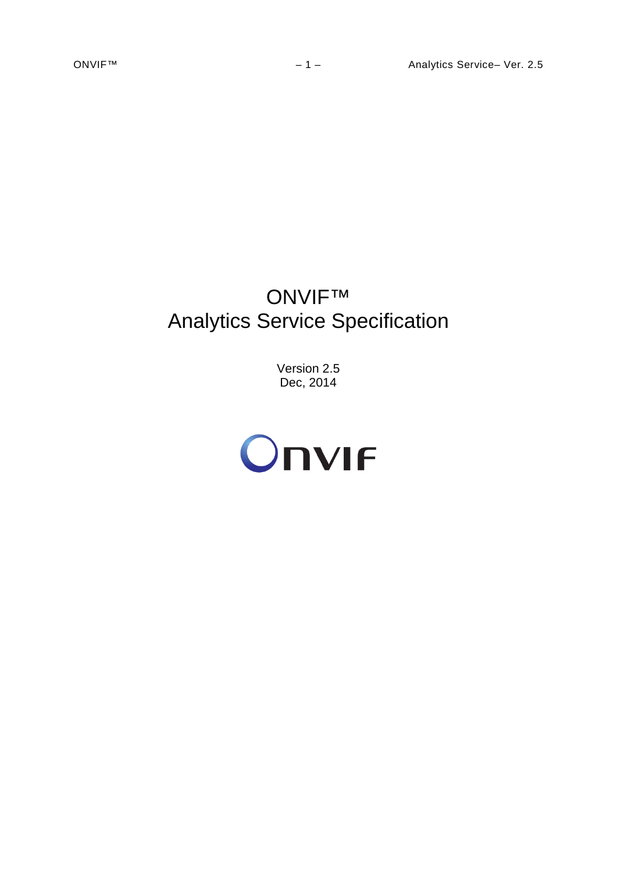# ONVIF™ Analytics Service Specification

Version 2.5 Dec, 2014

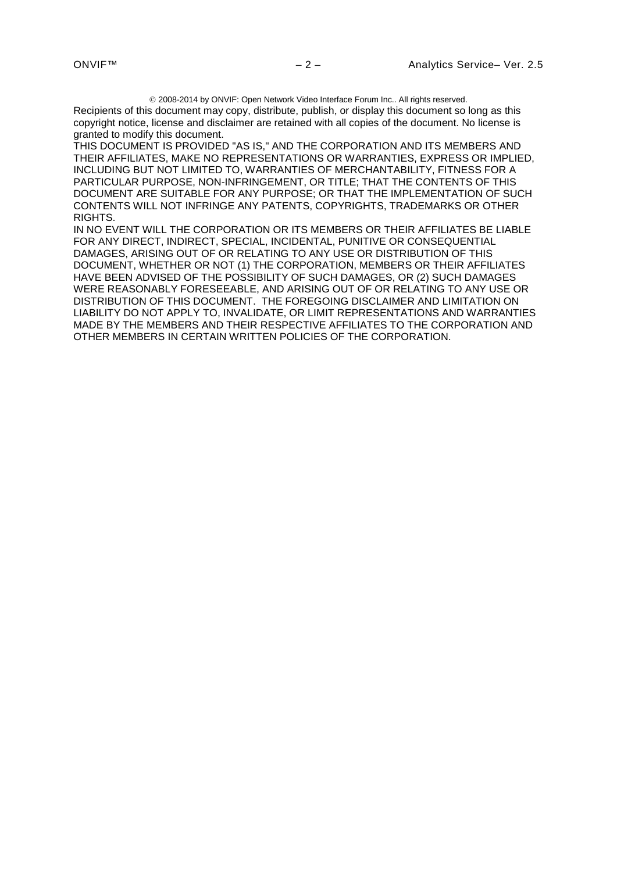2008-2014 by ONVIF: Open Network Video Interface Forum Inc.. All rights reserved.

Recipients of this document may copy, distribute, publish, or display this document so long as this copyright notice, license and disclaimer are retained with all copies of the document. No license is granted to modify this document.

THIS DOCUMENT IS PROVIDED "AS IS," AND THE CORPORATION AND ITS MEMBERS AND THEIR AFFILIATES, MAKE NO REPRESENTATIONS OR WARRANTIES, EXPRESS OR IMPLIED, INCLUDING BUT NOT LIMITED TO, WARRANTIES OF MERCHANTABILITY, FITNESS FOR A PARTICULAR PURPOSE, NON-INFRINGEMENT, OR TITLE; THAT THE CONTENTS OF THIS DOCUMENT ARE SUITABLE FOR ANY PURPOSE; OR THAT THE IMPLEMENTATION OF SUCH CONTENTS WILL NOT INFRINGE ANY PATENTS, COPYRIGHTS, TRADEMARKS OR OTHER RIGHTS.

IN NO EVENT WILL THE CORPORATION OR ITS MEMBERS OR THEIR AFFILIATES BE LIABLE FOR ANY DIRECT, INDIRECT, SPECIAL, INCIDENTAL, PUNITIVE OR CONSEQUENTIAL DAMAGES, ARISING OUT OF OR RELATING TO ANY USE OR DISTRIBUTION OF THIS DOCUMENT, WHETHER OR NOT (1) THE CORPORATION, MEMBERS OR THEIR AFFILIATES HAVE BEEN ADVISED OF THE POSSIBILITY OF SUCH DAMAGES, OR (2) SUCH DAMAGES WERE REASONABLY FORESEEABLE, AND ARISING OUT OF OR RELATING TO ANY USE OR DISTRIBUTION OF THIS DOCUMENT. THE FOREGOING DISCLAIMER AND LIMITATION ON LIABILITY DO NOT APPLY TO, INVALIDATE, OR LIMIT REPRESENTATIONS AND WARRANTIES MADE BY THE MEMBERS AND THEIR RESPECTIVE AFFILIATES TO THE CORPORATION AND OTHER MEMBERS IN CERTAIN WRITTEN POLICIES OF THE CORPORATION.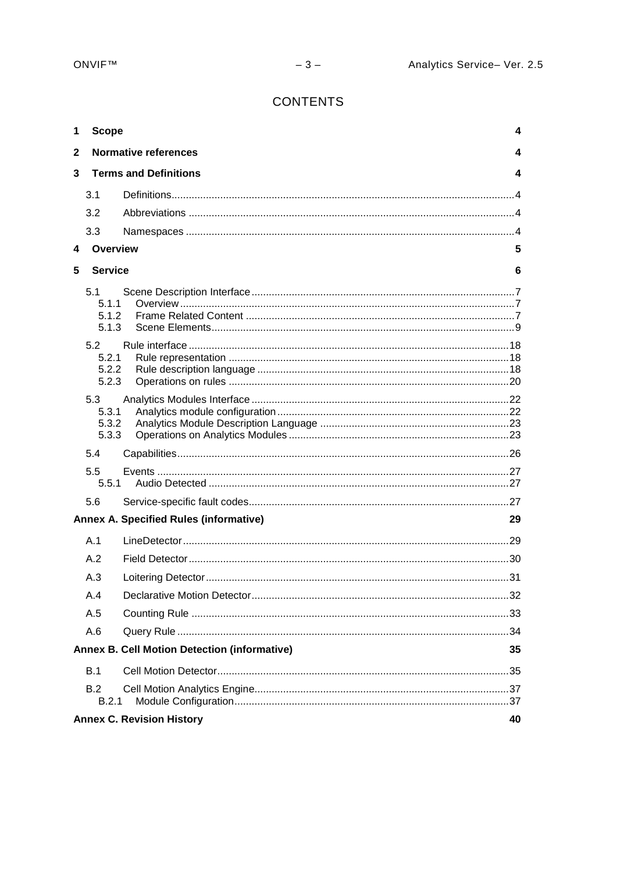# **CONTENTS**

| 1 | <b>Scope</b>                           |                                                     | 4  |  |  |
|---|----------------------------------------|-----------------------------------------------------|----|--|--|
| 2 | <b>Normative references</b><br>4       |                                                     |    |  |  |
| 3 | <b>Terms and Definitions</b>           |                                                     |    |  |  |
|   | 3.1                                    |                                                     |    |  |  |
|   | 3.2                                    |                                                     |    |  |  |
|   | 3.3                                    |                                                     |    |  |  |
| 4 | Overview                               |                                                     | 5  |  |  |
| 5 | <b>Service</b>                         |                                                     | 6  |  |  |
|   | 5.1<br>5.1.1<br>5.1.2<br>5.1.3<br>5.2  |                                                     |    |  |  |
|   | 5.2.1<br>5.2.2<br>5.2.3                |                                                     |    |  |  |
|   | 5.3<br>5.3.1<br>5.3.2<br>5.3.3         |                                                     |    |  |  |
|   | 5.4                                    |                                                     |    |  |  |
|   | 5.5<br>5.5.1                           |                                                     |    |  |  |
|   | 5.6                                    |                                                     |    |  |  |
|   |                                        | <b>Annex A. Specified Rules (informative)</b>       | 29 |  |  |
|   | A.1                                    |                                                     |    |  |  |
|   | A.2                                    |                                                     |    |  |  |
|   | A.3                                    |                                                     |    |  |  |
|   | A.4                                    |                                                     |    |  |  |
|   | A.5                                    |                                                     |    |  |  |
|   | A.6                                    |                                                     |    |  |  |
|   |                                        | <b>Annex B. Cell Motion Detection (informative)</b> | 35 |  |  |
|   | B.1                                    |                                                     |    |  |  |
|   | <b>B.2</b><br>B.2.1                    |                                                     |    |  |  |
|   | <b>Annex C. Revision History</b><br>40 |                                                     |    |  |  |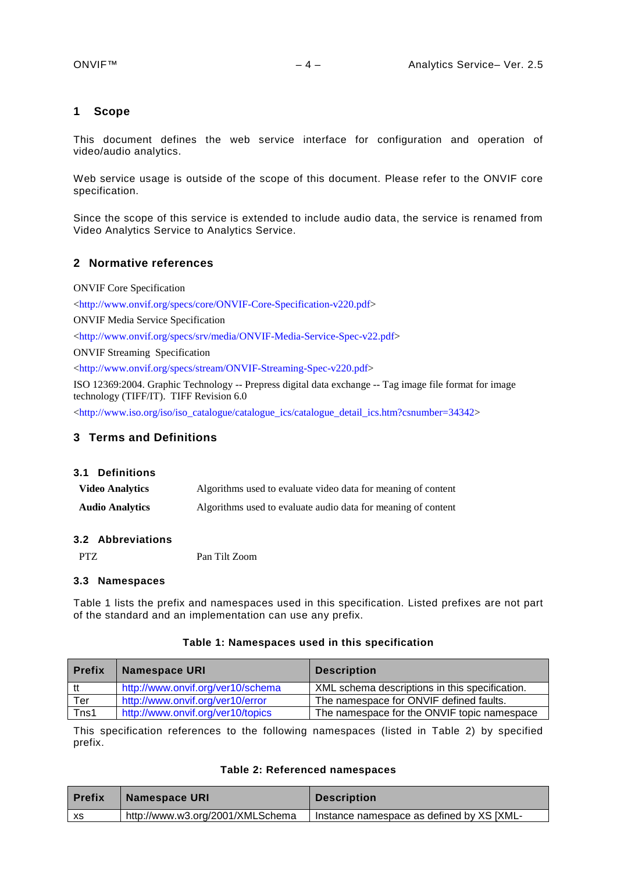#### <span id="page-3-0"></span>**1 Scope**

This document defines the web service interface for configuration and operation of video/audio analytics.

Web service usage is outside of the scope of this document. Please refer to the ONVIF core specification.

Since the scope of this service is extended to include audio data, the service is renamed from Video Analytics Service to Analytics Service.

#### <span id="page-3-1"></span>**2 Normative references**

ONVIF Core Specification

[<http://www.onvif.org/specs/core/ONVIF-Core-Specification-v220.pdf>](http://www.onvif.org/specs/core/ONVIF-Core-Specification-v211.pdf)

ONVIF Media Service Specification

[<http://www.onvif.org/specs/srv/media/ONVIF-Media-Service-Spec-v22.pdf>](http://www.onvif.org/specs/srv/media/ONVIF-Media-Service-Spec-v211.pdf)

ONVIF Streaming Specification

[<http://www.onvif.org/specs/stream/ONVIF-Streaming-Spec-v220.pdf>](http://www.onvif.org/specs/stream/ONVIF-Streaming-Spec-v211.pdf)

ISO 12369:2004. Graphic Technology -- Prepress digital data exchange -- Tag image file format for image technology (TIFF/IT). TIFF Revision 6.0

 $\langle$ http://www.iso.org/iso/iso\_catalogue/catalogue\_ics/catalogue\_detail\_ics.htm?csnumber=34342>

# <span id="page-3-2"></span>**3 Terms and Definitions**

#### <span id="page-3-3"></span>**3.1 Definitions**

| <b>Video Analytics</b> | Algorithms used to evaluate video data for meaning of content |
|------------------------|---------------------------------------------------------------|
| <b>Audio Analytics</b> | Algorithms used to evaluate audio data for meaning of content |

#### <span id="page-3-4"></span>**3.2 Abbreviations**

<span id="page-3-5"></span>PTZ Pan Tilt Zoom

#### **3.3 Namespaces**

Table 1 lists the prefix and namespaces used in this specification. Listed prefixes are not part of the standard and an implementation can use any prefix.

#### **Table 1: Namespaces used in this specification**

| <b>Prefix</b> | <b>Namespace URI</b>              | <b>Description</b>                             |
|---------------|-----------------------------------|------------------------------------------------|
| tt            | http://www.onvif.org/ver10/schema | XML schema descriptions in this specification. |
| Ter           | http://www.onvif.org/ver10/error  | The namespace for ONVIF defined faults.        |
| Tns1          | http://www.onvif.org/ver10/topics | The namespace for the ONVIF topic namespace    |

This specification references to the following namespaces (listed in Table 2) by specified prefix.

#### **Table 2: Referenced namespaces**

| <b>Prefix</b> | <b>Namespace URI</b>             | <b>Description</b>                        |
|---------------|----------------------------------|-------------------------------------------|
| XS            | http://www.w3.org/2001/XMLSchema | Instance namespace as defined by XS [XML- |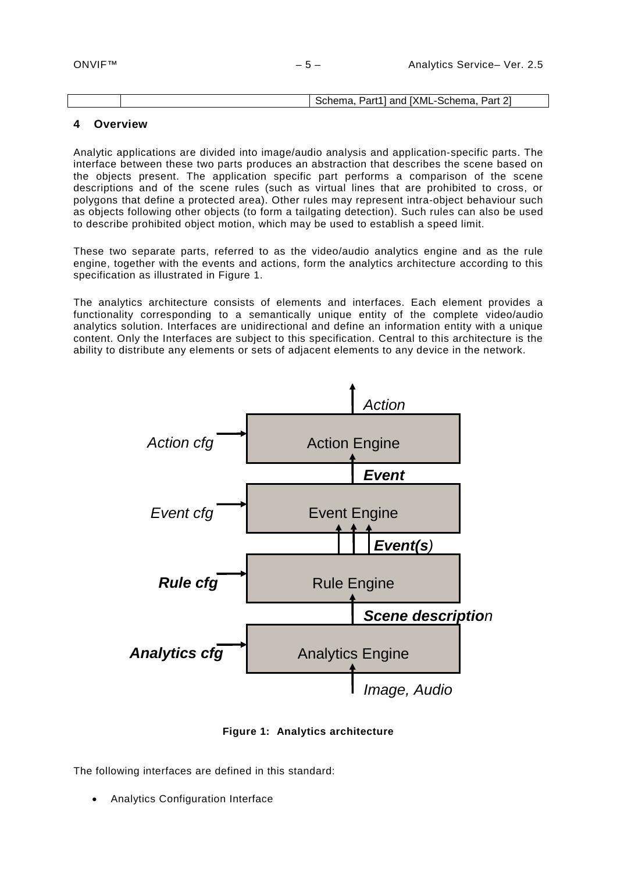|  | <b>TXML</b><br>. Part <sup>4</sup><br>~<br>Part<br>--Schema<br>ട്chema<br>and |
|--|-------------------------------------------------------------------------------|
|  |                                                                               |

# <span id="page-4-0"></span>**4 Overview**

Analytic applications are divided into image/audio analysis and application-specific parts. The interface between these two parts produces an abstraction that describes the scene based on the objects present. The application specific part performs a comparison of the scene descriptions and of the scene rules (such as virtual lines that are prohibited to cross, or polygons that define a protected area). Other rules may represent intra-object behaviour such as objects following other objects (to form a tailgating detection). Such rules can also be used to describe prohibited object motion, which may be used to establish a speed limit.

These two separate parts, referred to as the video/audio analytics engine and as the rule engine, together with the events and actions, form the analytics architecture according to this specification as illustrated in [Figure 1.](#page-4-1)

The analytics architecture consists of elements and interfaces. Each element provides a functionality corresponding to a semantically unique entity of the complete video/audio analytics solution. Interfaces are unidirectional and define an information entity with a unique content. Only the Interfaces are subject to this specification. Central to this architecture is the ability to distribute any elements or sets of adjacent elements to any device in the network.



**Figure 1: Analytics architecture**

<span id="page-4-1"></span>The following interfaces are defined in this standard:

• Analytics Configuration Interface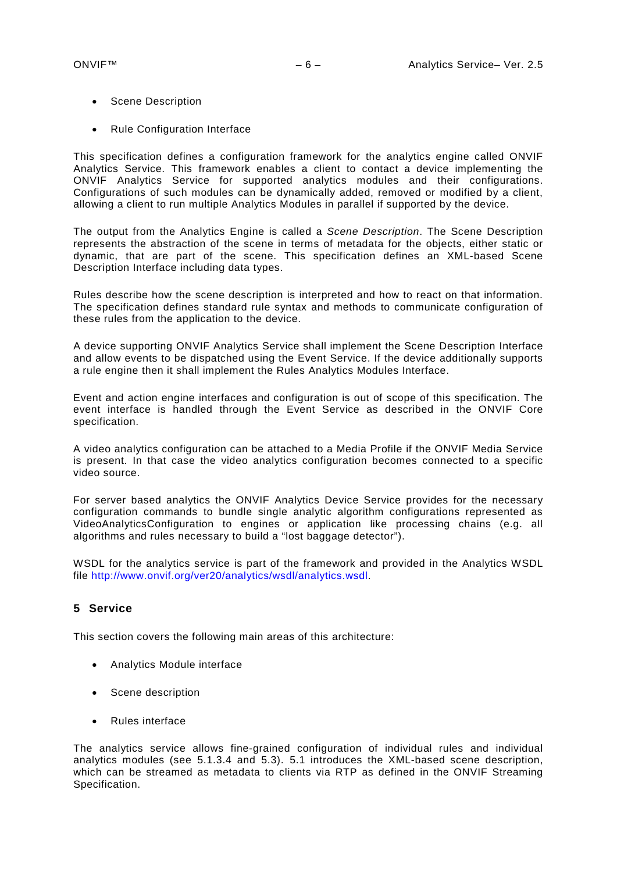- Scene Description
- Rule Configuration Interface

This specification defines a configuration framework for the analytics engine called ONVIF Analytics Service. This framework enables a client to contact a device implementing the ONVIF Analytics Service for supported analytics modules and their configurations. Configurations of such modules can be dynamically added, removed or modified by a client, allowing a client to run multiple Analytics Modules in parallel if supported by the device.

The output from the Analytics Engine is called a *Scene Description*. The Scene Description represents the abstraction of the scene in terms of metadata for the objects, either static or dynamic, that are part of the scene. This specification defines an XML-based Scene Description Interface including data types.

Rules describe how the scene description is interpreted and how to react on that information. The specification defines standard rule syntax and methods to communicate configuration of these rules from the application to the device.

A device supporting ONVIF Analytics Service shall implement the Scene Description Interface and allow events to be dispatched using the Event Service. If the device additionally supports a rule engine then it shall implement the Rules Analytics Modules Interface.

Event and action engine interfaces and configuration is out of scope of this specification. The event interface is handled through the Event Service as described in the ONVIF Core specification.

A video analytics configuration can be attached to a Media Profile if the ONVIF Media Service is present. In that case the video analytics configuration becomes connected to a specific video source.

For server based analytics the ONVIF Analytics Device Service provides for the necessary configuration commands to bundle single analytic algorithm configurations represented as VideoAnalyticsConfiguration to engines or application like processing chains (e.g. all algorithms and rules necessary to build a "lost baggage detector").

WSDL for the analytics service is part of the framework and provided in the Analytics WSDL file [http://www.onvif.org/ver20/analytics/wsdl/analytics.wsdl.](http://www.onvif.org/ver20/analytics/wsdl/analytics.wsdl)

# <span id="page-5-0"></span>**5 Service**

This section covers the following main areas of this architecture:

- Analytics Module interface
- Scene description
- Rules interface

The analytics service allows fine-grained configuration of individual rules and individual analytics modules (see [5.1.3.4](#page-13-0) and [5.3\)](#page-21-0). [5.1](#page-6-0) introduces the XML-based scene description, which can be streamed as metadata to clients via RTP as defined in the ONVIF Streaming Specification.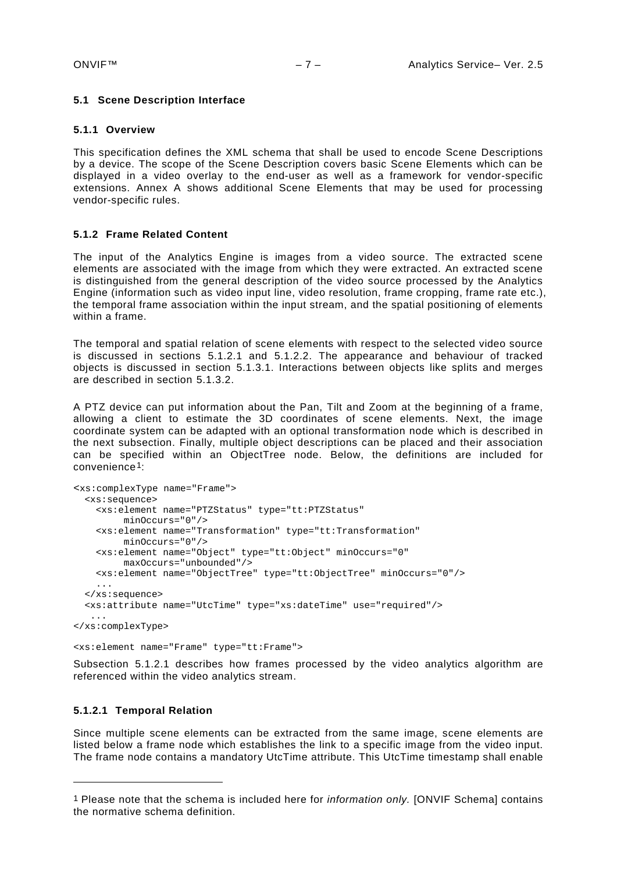#### <span id="page-6-0"></span>**5.1 Scene Description Interface**

#### <span id="page-6-1"></span>**5.1.1 Overview**

This specification defines the XML schema that shall be used to encode Scene Descriptions by a device. The scope of the Scene Description covers basic Scene Elements which can be displayed in a video overlay to the end-user as well as a framework for vendor-specific extensions. Annex A shows additional Scene Elements that may be used for processing vendor-specific rules.

#### <span id="page-6-2"></span>**5.1.2 Frame Related Content**

The input of the Analytics Engine is images from a video source. The extracted scene elements are associated with the image from which they were extracted. An extracted scene is distinguished from the general description of the video source processed by the Analytics Engine (information such as video input line, video resolution, frame cropping, frame rate etc.), the temporal frame association within the input stream, and the spatial positioning of elements within a frame.

The temporal and spatial relation of scene elements with respect to the selected video source is discussed in sections [5.1.2.1](#page-6-3) and [5.1.2.2.](#page-7-0) The appearance and behaviour of tracked objects is discussed in section [5.1.3.1.](#page-9-0) Interactions between objects like splits and merges are described in section [5.1.3.2.](#page-11-0)

A PTZ device can put information about the Pan, Tilt and Zoom at the beginning of a frame, allowing a client to estimate the 3D coordinates of scene elements. Next, the image coordinate system can be adapted with an optional transformation node which is described in the next subsection. Finally, multiple object descriptions can be placed and their association can be specified within an ObjectTree node. Below, the definitions are included for convenience[1](#page-6-4):

```
<xs:complexType name="Frame">
   <xs:sequence>
     <xs:element name="PTZStatus" type="tt:PTZStatus"
         minOccurs="0"/>
     <xs:element name="Transformation" type="tt:Transformation"
         minOccurs="0"/>
     <xs:element name="Object" type="tt:Object" minOccurs="0"
          maxOccurs="unbounded"/>
     <xs:element name="ObjectTree" type="tt:ObjectTree" minOccurs="0"/>
     ...
   </xs:sequence>
   <xs:attribute name="UtcTime" type="xs:dateTime" use="required"/>
 ...
</xs:complexType>
```
<xs:element name="Frame" type="tt:Frame">

Subsection [5.1.2.1](#page-6-3) describes how frames processed by the video analytics algorithm are referenced within the video analytics stream.

#### <span id="page-6-3"></span>**5.1.2.1 Temporal Relation**

-

Since multiple scene elements can be extracted from the same image, scene elements are listed below a frame node which establishes the link to a specific image from the video input. The frame node contains a mandatory UtcTime attribute. This UtcTime timestamp shall enable

<span id="page-6-4"></span><sup>1</sup> Please note that the schema is included here for *information only.* [ONVIF Schema] contains the normative schema definition.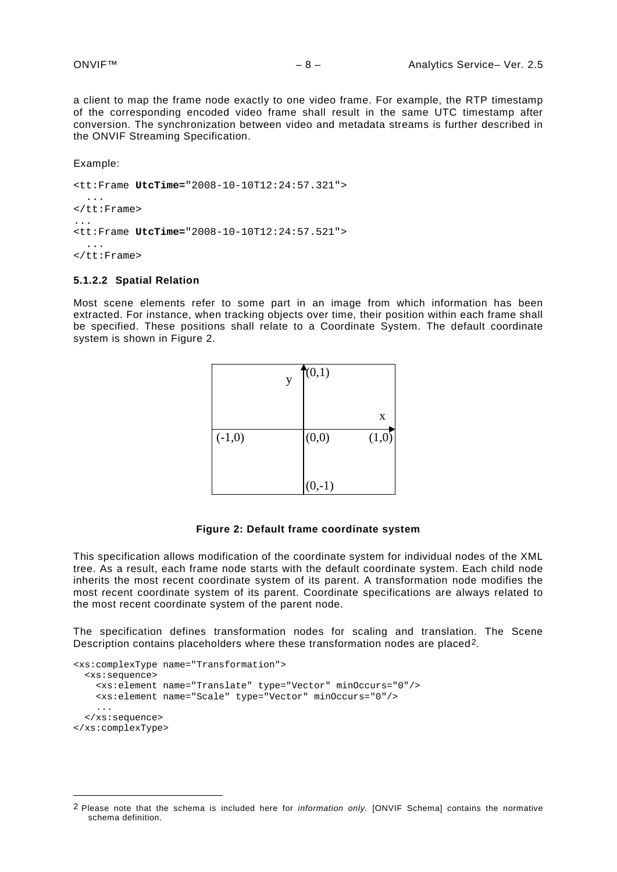a client to map the frame node exactly to one video frame. For example, the RTP timestamp of the corresponding encoded video frame shall result in the same UTC timestamp after conversion. The synchronization between video and metadata streams is further described in the ONVIF Streaming Specification.

Example:

-

<tt:Frame **UtcTime=**"2008-10-10T12:24:57.321"> ... </tt:Frame> ... <tt:Frame **UtcTime=**"2008-10-10T12:24:57.521"> ...  $\langle$ tt:Frame>

#### <span id="page-7-0"></span>**5.1.2.2 Spatial Relation**

Most scene elements refer to some part in an image from which information has been extracted. For instance, when tracking objects over time, their position within each frame shall be specified. These positions shall relate to a Coordinate System. The default coordinate system is shown in [Figure 2.](#page-7-1)

|          | y | (0,1)    |       |
|----------|---|----------|-------|
|          |   |          | X     |
| $(-1,0)$ |   | (0,0)    | (1,0) |
|          |   | $(0,-1)$ |       |

#### **Figure 2: Default frame coordinate system**

<span id="page-7-1"></span>This specification allows modification of the coordinate system for individual nodes of the XML tree. As a result, each frame node starts with the default coordinate system. Each child node inherits the most recent coordinate system of its parent. A transformation node modifies the most recent coordinate system of its parent. Coordinate specifications are always related to the most recent coordinate system of the parent node.

The specification defines transformation nodes for scaling and translation. The Scene Description contains placeholders where these transformation nodes are placed[2.](#page-7-2)

```
<xs:complexType name="Transformation">
  <xs:sequence>
     <xs:element name="Translate" type="Vector" minOccurs="0"/>
     <xs:element name="Scale" type="Vector" minOccurs="0"/>
     ...
   </xs:sequence>
</xs:complexType>
```
<span id="page-7-2"></span><sup>2</sup> Please note that the schema is included here for *information only.* [ONVIF Schema] contains the normative schema definition.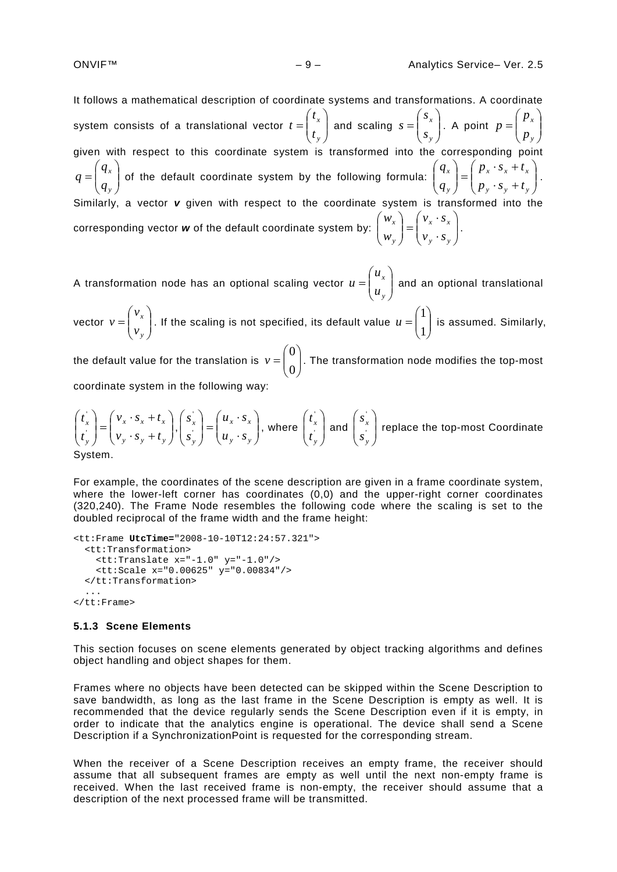It follows a mathematical description of coordinate systems and transformations. A coordinate system consists of a translational vector  $t = \begin{bmatrix} t_x \\ t_y \end{bmatrix}$ J  $\setminus$  $\overline{\phantom{a}}$  $\overline{\mathcal{L}}$  $=\bigg($ *y x t t*  $t = \begin{bmatrix} t_x \\ t_y \end{bmatrix}$  and scaling  $s = \begin{bmatrix} s_x \\ s_y \end{bmatrix}$  $\bigg)$  $\setminus$  $\overline{\phantom{a}}$  $\overline{\mathcal{L}}$  $=\bigg($ *y x s s*  $s = \begin{bmatrix} s_x \\ s_y \end{bmatrix}$ . A point  $p = \begin{bmatrix} P_x \\ P_y \end{bmatrix}$  $\bigg)$  $\setminus$  $\overline{\phantom{a}}$  $\overline{\mathcal{L}}$  $=\bigg($ *y x p p p* given with respect to this coordinate system is transformed into the corresponding point  $\overline{\phantom{a}}$ J  $\setminus$  $\overline{\phantom{a}}$  $\setminus$  $=\bigg($ *y x q q*  $q = \begin{pmatrix} q_x \\ q_y \end{pmatrix}$  of the default coordinate system by the following formula:  $\begin{pmatrix} q_x \\ q_y \end{pmatrix} = \begin{pmatrix} P_x & P_x & P_x + P_x \\ P_y & P_y & P_y \end{pmatrix}$  $\bigg)$  $\setminus$  $\overline{\phantom{a}}$  $\overline{\mathcal{L}}$ ſ  $= \begin{pmatrix} p_x \cdot s_x + p_y \cdot s_y + p_z \end{pmatrix}$  $\bigg)$  $\setminus$  $\overline{\phantom{a}}$  $\overline{\mathcal{L}}$ ſ *y y y*  $\int x^{-1} dx + \iota_x$ *y x*  $p_v \cdot s_v + t$  $p_x \cdot s_x + t$ *q*  $\left\{ q_{x}\right\} =\left( P_{x}\cdot S_{x}+t_{x}\right)$ . Similarly, a vector **v** given with respect to the coordinate system is transformed into the corresponding vector **w** of the default coordinate system by:  $\begin{bmatrix} x \\ y \end{bmatrix} = \begin{bmatrix} x & y \\ y & z \end{bmatrix}$ J  $\setminus$  $\overline{\phantom{a}}$  $\setminus$ ſ  $\bigg) = \begin{pmatrix} v_x \\ v_y \end{pmatrix}$  $\bigg)$  $\setminus$  $\overline{\phantom{a}}$  $\setminus$ ſ *y y x x y x*  $v_y \cdot s$  $v_x \cdot s$ *w*  $w_x$  =  $\begin{pmatrix} v_x \cdot s_x \end{pmatrix}$ .

A transformation node has an optional scaling vector  $u = \begin{bmatrix} u & v \ u & v \end{bmatrix}$  $\big)$  $\setminus$  $\overline{\phantom{a}}$  $\setminus$  $=\bigg($ *y x u u*  $\mu = \vert u \vert$  and an optional translational vector  $v = \begin{pmatrix} v_x \\ v_y \end{pmatrix}$ J  $\setminus$  $\overline{\phantom{a}}$  $\setminus$  $=\bigg($ *y x v v*  $v = \begin{pmatrix} v \\ v \end{pmatrix}$ . If the scaling is not specified, its default value  $u = \begin{pmatrix} 1 \\ 1 \end{pmatrix}$  $\bigg)$  $\setminus$  $\overline{\phantom{a}}$  $=\begin{pmatrix} 1 \\ 1 \end{pmatrix}$  $u = \begin{bmatrix} 1 \\ 1 \end{bmatrix}$  is assumed. Similarly, the default value for the translation is  $v = \begin{bmatrix} 0 \\ 0 \end{bmatrix}$ J  $\setminus$  $\overline{\phantom{a}}$  $=\begin{pmatrix} 0 \\ 0 \end{pmatrix}$  $v = \begin{bmatrix} 0 \\ 0 \end{bmatrix}$ . The transformation node modifies the top-most

coordinate system in the following way:

$$
\begin{pmatrix} t_x \\ t_y \end{pmatrix} = \begin{pmatrix} v_x \cdot s_x + t_x \\ v_y \cdot s_y + t_y \end{pmatrix}, \begin{pmatrix} s_x \\ s_y \end{pmatrix} = \begin{pmatrix} u_x \cdot s_x \\ u_y \cdot s_y \end{pmatrix}, \text{ where } \begin{pmatrix} t_x \\ t_y \end{pmatrix} \text{ and } \begin{pmatrix} s_x \\ s_y \end{pmatrix} \text{ replace the top-most Coordinate System.}
$$

For example, the coordinates of the scene description are given in a frame coordinate system, where the lower-left corner has coordinates (0,0) and the upper-right corner coordinates (320,240). The Frame Node resembles the following code where the scaling is set to the doubled reciprocal of the frame width and the frame height:

```
<tt:Frame UtcTime="2008-10-10T12:24:57.321">
   <tt:Transformation>
     <tt:Translate x="-1.0" y="-1.0"/>
     <tt:Scale x="0.00625" y="0.00834"/>
   </tt:Transformation>
 ...
</tt:Frame>
```
#### <span id="page-8-0"></span>**5.1.3 Scene Elements**

This section focuses on scene elements generated by object tracking algorithms and defines object handling and object shapes for them.

Frames where no objects have been detected can be skipped within the Scene Description to save bandwidth, as long as the last frame in the Scene Description is empty as well. It is recommended that the device regularly sends the Scene Description even if it is empty, in order to indicate that the analytics engine is operational. The device shall send a Scene Description if a SynchronizationPoint is requested for the corresponding stream.

When the receiver of a Scene Description receives an empty frame, the receiver should assume that all subsequent frames are empty as well until the next non-empty frame is received. When the last received frame is non-empty, the receiver should assume that a description of the next processed frame will be transmitted.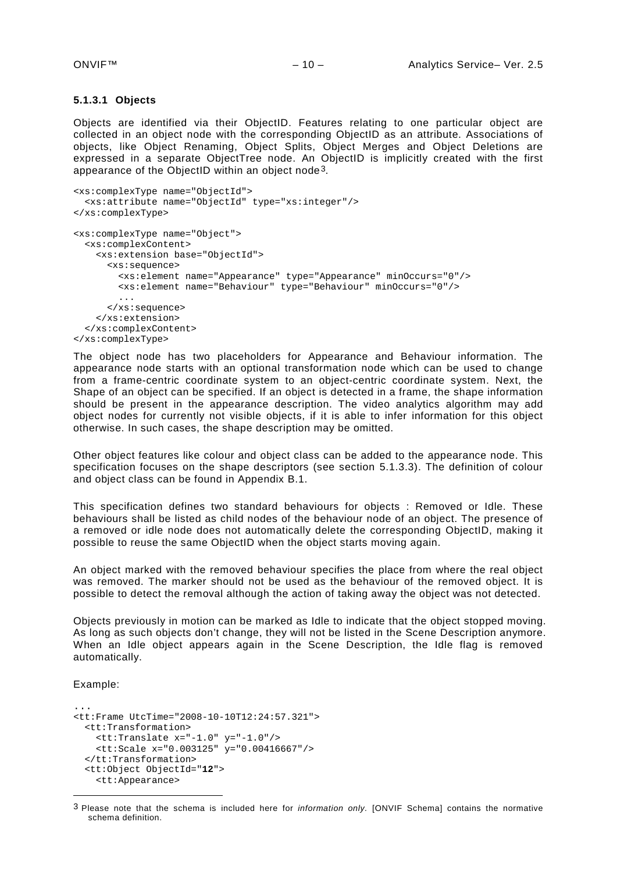#### <span id="page-9-0"></span>**5.1.3.1 Objects**

Objects are identified via their ObjectID. Features relating to one particular object are collected in an object node with the corresponding ObjectID as an attribute. Associations of objects, like Object Renaming, Object Splits, Object Merges and Object Deletions are expressed in a separate ObjectTree node. An ObjectID is implicitly created with the first appearance of the ObjectID within an object node[3](#page-9-1).

```
<xs:complexType name="ObjectId">
   <xs:attribute name="ObjectId" type="xs:integer"/>
</xs:complexType>
<xs:complexType name="Object">
   <xs:complexContent>
     <xs:extension base="ObjectId">
      <xs:sequence>
        <xs:element name="Appearance" type="Appearance" minOccurs="0"/>
         <xs:element name="Behaviour" type="Behaviour" minOccurs="0"/>
         ...
       </xs:sequence>
     </xs:extension>
   </xs:complexContent>
</xs:complexType>
```
The object node has two placeholders for Appearance and Behaviour information. The appearance node starts with an optional transformation node which can be used to change from a frame-centric coordinate system to an object-centric coordinate system. Next, the Shape of an object can be specified. If an object is detected in a frame, the shape information should be present in the appearance description. The video analytics algorithm may add object nodes for currently not visible objects, if it is able to infer information for this object otherwise. In such cases, the shape description may be omitted.

Other object features like colour and object class can be added to the appearance node. This specification focuses on the shape descriptors (see section [5.1.3.3\)](#page-12-0). The definition of colour and object class can be found in Appendix B.1.

This specification defines two standard behaviours for objects : Removed or Idle. These behaviours shall be listed as child nodes of the behaviour node of an object. The presence of a removed or idle node does not automatically delete the corresponding ObjectID, making it possible to reuse the same ObjectID when the object starts moving again.

An object marked with the removed behaviour specifies the place from where the real object was removed. The marker should not be used as the behaviour of the removed object. It is possible to detect the removal although the action of taking away the object was not detected.

Objects previously in motion can be marked as Idle to indicate that the object stopped moving. As long as such objects don't change, they will not be listed in the Scene Description anymore. When an Idle object appears again in the Scene Description, the Idle flag is removed automatically.

Example:

-

```
...
<tt:Frame UtcTime="2008-10-10T12:24:57.321">
  <tt:Transformation>
    <tt:Translate x="-1.0" y="-1.0"/>
     <tt:Scale x="0.003125" y="0.00416667"/>
  </tt:Transformation>
  <tt:Object ObjectId="12">
    <tt:Appearance>
```
<span id="page-9-1"></span><sup>3</sup> Please note that the schema is included here for *information only.* [ONVIF Schema] contains the normative schema definition.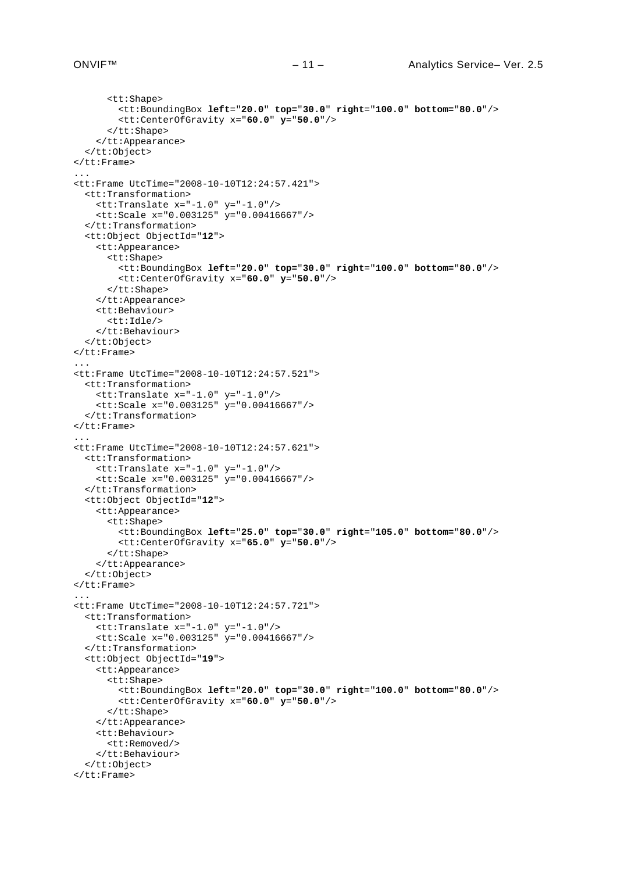```
 <tt:Shape>
         <tt:BoundingBox left="20.0" top="30.0" right="100.0" bottom="80.0"/>
         <tt:CenterOfGravity x="60.0" y="50.0"/>
       </tt:Shape>
     </tt:Appearance>
   </tt:Object>
</tt:Frame>
...
<tt:Frame UtcTime="2008-10-10T12:24:57.421">
   <tt:Transformation>
     <tt:Translate x="-1.0" y="-1.0"/>
     <tt:Scale x="0.003125" y="0.00416667"/>
   </tt:Transformation>
   <tt:Object ObjectId="12">
     <tt:Appearance>
       <tt:Shape>
         <tt:BoundingBox left="20.0" top="30.0" right="100.0" bottom="80.0"/>
         <tt:CenterOfGravity x="60.0" y="50.0"/>
       </tt:Shape>
     </tt:Appearance>
     <tt:Behaviour>
       <tt:Idle/>
     </tt:Behaviour>
   </tt:Object>
</tt:Frame>
...
<tt:Frame UtcTime="2008-10-10T12:24:57.521">
   <tt:Transformation>
     <tt:Translate x="-1.0" y="-1.0"/>
     <tt:Scale x="0.003125" y="0.00416667"/>
   </tt:Transformation>
</tt:Frame>
...
<tt:Frame UtcTime="2008-10-10T12:24:57.621">
   <tt:Transformation>
     <tt:Translate x="-1.0" y="-1.0"/>
     <tt:Scale x="0.003125" y="0.00416667"/>
   </tt:Transformation>
   <tt:Object ObjectId="12">
     <tt:Appearance>
       <tt:Shape>
         <tt:BoundingBox left="25.0" top="30.0" right="105.0" bottom="80.0"/>
         <tt:CenterOfGravity x="65.0" y="50.0"/>
       </tt:Shape>
     </tt:Appearance>
   </tt:Object>
</tt:Frame>
...
<tt:Frame UtcTime="2008-10-10T12:24:57.721">
   <tt:Transformation>
     <tt:Translate x="-1.0" y="-1.0"/>
     <tt:Scale x="0.003125" y="0.00416667"/>
   </tt:Transformation>
   <tt:Object ObjectId="19">
     <tt:Appearance>
       <tt:Shape>
         <tt:BoundingBox left="20.0" top="30.0" right="100.0" bottom="80.0"/>
         <tt:CenterOfGravity x="60.0" y="50.0"/>
       </tt:Shape>
     </tt:Appearance>
     <tt:Behaviour>
       <tt:Removed/>
     </tt:Behaviour>
   </tt:Object>
\langlett:Frame>
```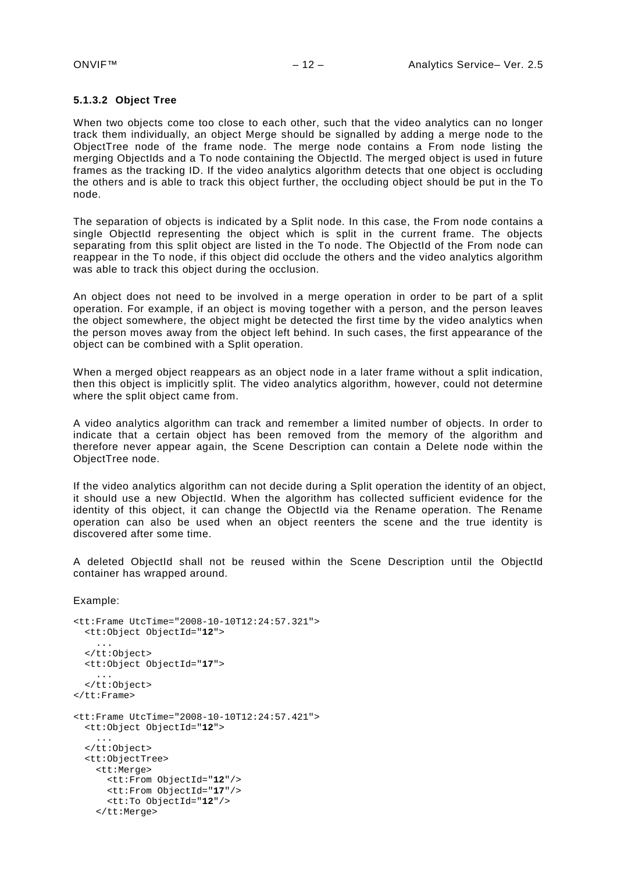#### <span id="page-11-0"></span>**5.1.3.2 Object Tree**

When two objects come too close to each other, such that the video analytics can no longer track them individually, an object Merge should be signalled by adding a merge node to the ObjectTree node of the frame node. The merge node contains a From node listing the merging ObjectIds and a To node containing the ObjectId. The merged object is used in future frames as the tracking ID. If the video analytics algorithm detects that one object is occluding the others and is able to track this object further, the occluding object should be put in the To node.

The separation of objects is indicated by a Split node. In this case, the From node contains a single ObjectId representing the object which is split in the current frame. The objects separating from this split object are listed in the To node. The ObjectId of the From node can reappear in the To node, if this object did occlude the others and the video analytics algorithm was able to track this object during the occlusion.

An object does not need to be involved in a merge operation in order to be part of a split operation. For example, if an object is moving together with a person, and the person leaves the object somewhere, the object might be detected the first time by the video analytics when the person moves away from the object left behind. In such cases, the first appearance of the object can be combined with a Split operation.

When a merged object reappears as an object node in a later frame without a split indication, then this object is implicitly split. The video analytics algorithm, however, could not determine where the split object came from.

A video analytics algorithm can track and remember a limited number of objects. In order to indicate that a certain object has been removed from the memory of the algorithm and therefore never appear again, the Scene Description can contain a Delete node within the ObjectTree node.

If the video analytics algorithm can not decide during a Split operation the identity of an object, it should use a new ObjectId. When the algorithm has collected sufficient evidence for the identity of this object, it can change the ObjectId via the Rename operation. The Rename operation can also be used when an object reenters the scene and the true identity is discovered after some time.

A deleted ObjectId shall not be reused within the Scene Description until the ObjectId container has wrapped around.

Example:

```
<tt:Frame UtcTime="2008-10-10T12:24:57.321">
   <tt:Object ObjectId="12">
 ...
 </tt:Object>
   <tt:Object ObjectId="17">
     ...
   </tt:Object>
</tt:Frame>
<tt:Frame UtcTime="2008-10-10T12:24:57.421">
   <tt:Object ObjectId="12">
     ...
   </tt:Object>
   <tt:ObjectTree>
     <tt:Merge>
       <tt:From ObjectId="12"/>
       <tt:From ObjectId="17"/>
       <tt:To ObjectId="12"/>
     </tt:Merge>
```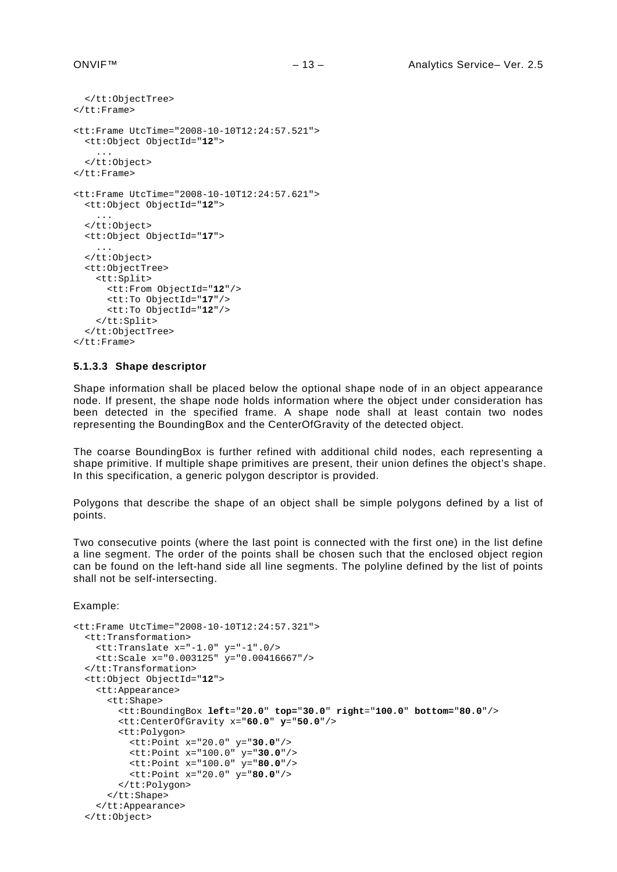```
 </tt:ObjectTree>
</tt:Frame>
<tt:Frame UtcTime="2008-10-10T12:24:57.521">
   <tt:Object ObjectId="12">
 ...
 </tt:Object>
\langlett:Frame>
<tt:Frame UtcTime="2008-10-10T12:24:57.621">
   <tt:Object ObjectId="12">
     ...
   </tt:Object>
   <tt:Object ObjectId="17">
     ...
   </tt:Object>
   <tt:ObjectTree>
     <tt:Split>
       <tt:From ObjectId="12"/>
       <tt:To ObjectId="17"/>
       <tt:To ObjectId="12"/>
     </tt:Split>
   </tt:ObjectTree>
\left\langle/tt:Frame>
```
#### <span id="page-12-0"></span>**5.1.3.3 Shape descriptor**

Shape information shall be placed below the optional shape node of in an object appearance node. If present, the shape node holds information where the object under consideration has been detected in the specified frame. A shape node shall at least contain two nodes representing the BoundingBox and the CenterOfGravity of the detected object.

The coarse BoundingBox is further refined with additional child nodes, each representing a shape primitive. If multiple shape primitives are present, their union defines the object's shape. In this specification, a generic polygon descriptor is provided.

Polygons that describe the shape of an object shall be simple polygons defined by a list of points.

Two consecutive points (where the last point is connected with the first one) in the list define a line segment. The order of the points shall be chosen such that the enclosed object region can be found on the left-hand side all line segments. The polyline defined by the list of points shall not be self-intersecting.

Example:

```
<tt:Frame UtcTime="2008-10-10T12:24:57.321">
  <tt:Transformation>
    <tt:Translate x="-1.0" y="-1".0/>
    <tt:Scale x="0.003125" y="0.00416667"/>
  </tt:Transformation>
  <tt:Object ObjectId="12">
     <tt:Appearance>
       <tt:Shape>
         <tt:BoundingBox left="20.0" top="30.0" right="100.0" bottom="80.0"/>
         <tt:CenterOfGravity x="60.0" y="50.0"/>
         <tt:Polygon>
           <tt:Point x="20.0" y="30.0"/>
           <tt:Point x="100.0" y="30.0"/>
           <tt:Point x="100.0" y="80.0"/>
           <tt:Point x="20.0" y="80.0"/>
         </tt:Polygon>
       </tt:Shape>
    </tt:Appearance>
  </tt:Object>
```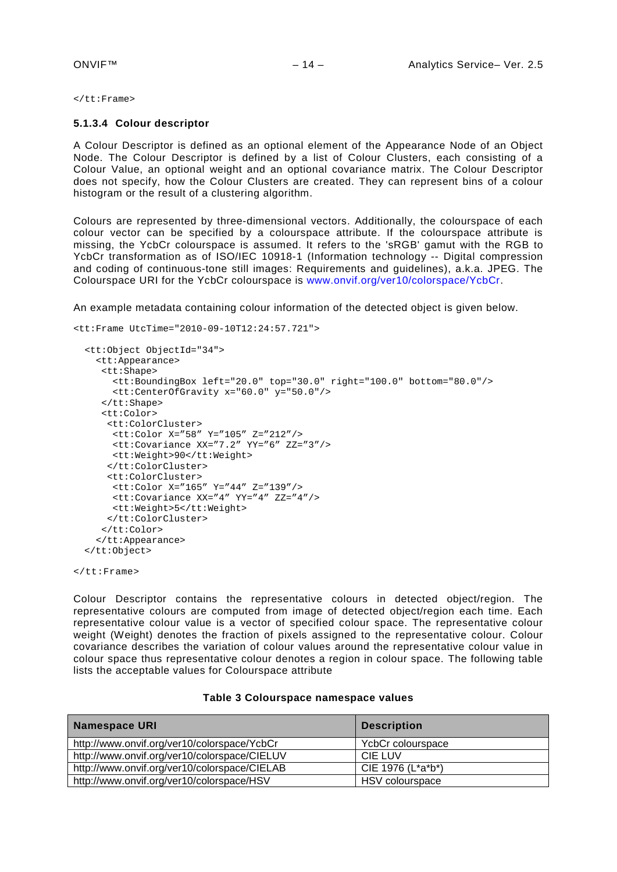<span id="page-13-0"></span></tt:Frame>

#### **5.1.3.4 Colour descriptor**

A Colour Descriptor is defined as an optional element of the Appearance Node of an Object Node. The Colour Descriptor is defined by a list of Colour Clusters, each consisting of a Colour Value, an optional weight and an optional covariance matrix. The Colour Descriptor does not specify, how the Colour Clusters are created. They can represent bins of a colour histogram or the result of a clustering algorithm.

Colours are represented by three-dimensional vectors. Additionally, the colourspace of each colour vector can be specified by a colourspace attribute. If the colourspace attribute is missing, the YcbCr colourspace is assumed. It refers to the 'sRGB' gamut with the RGB to YcbCr transformation as of ISO/IEC 10918-1 (Information technology -- Digital compression and coding of continuous-tone still images: Requirements and guidelines), a.k.a. JPEG. The Colourspace URI for the YcbCr colourspace is [www.onvif.org/ver10/colorspace/YcbCr.](http://www.onvif.org/ver10/colorspace/YCbCr)

An example metadata containing colour information of the detected object is given below.

```
<tt:Frame UtcTime="2010-09-10T12:24:57.721">
   <tt:Object ObjectId="34">
     <tt:Appearance>
      <tt:Shape>
        <tt:BoundingBox left="20.0" top="30.0" right="100.0" bottom="80.0"/>
        <tt:CenterOfGravity x="60.0" y="50.0"/>
      </tt:Shape>
      <tt:Color>
       <tt:ColorCluster>
       <tt:Color X="58" Y="105" Z="212"/> 
       <tt:Covariance XX="7.2" YY="6" ZZ="3"/> 
       <tt:Weight>90</tt:Weight> 
       </tt:ColorCluster>
       <tt:ColorCluster>
        <tt:Color X="165" Y="44" Z="139"/> 
       <tt:Covariance XX="4" YY="4" ZZ="4"/> 
       <tt:Weight>5</tt:Weight> 
      </tt:ColorCluster>
      </tt:Color>
     </tt:Appearance>
  </tt:Object>
```
 $\left\langle$ /tt:Frame>

Colour Descriptor contains the representative colours in detected object/region. The representative colours are computed from image of detected object/region each time. Each representative colour value is a vector of specified colour space. The representative colour weight (Weight) denotes the fraction of pixels assigned to the representative colour. Colour covariance describes the variation of colour values around the representative colour value in colour space thus representative colour denotes a region in colour space. The following table lists the acceptable values for Colourspace attribute

| Namespace URI                                | <b>Description</b> |  |
|----------------------------------------------|--------------------|--|
| http://www.onvif.org/ver10/colorspace/YcbCr  | YcbCr colourspace  |  |
| http://www.onvif.org/ver10/colorspace/CIELUV | <b>CIE LUV</b>     |  |
| http://www.onvif.org/ver10/colorspace/CIELAB | CIE 1976 (L*a*b*)  |  |
| http://www.onvif.org/ver10/colorspace/HSV    | HSV colourspace    |  |

#### **Table 3 Colourspace namespace values**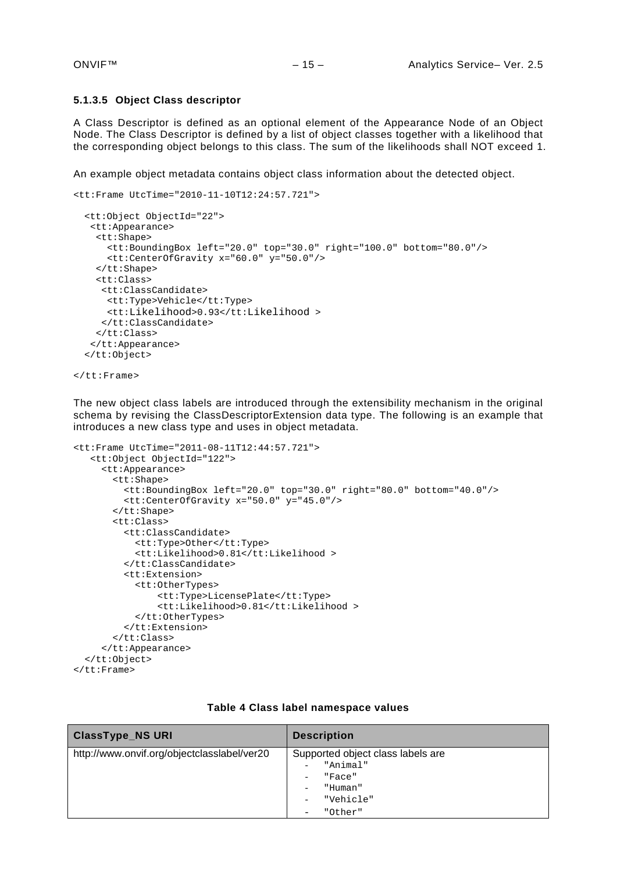#### **5.1.3.5 Object Class descriptor**

A Class Descriptor is defined as an optional element of the Appearance Node of an Object Node. The Class Descriptor is defined by a list of object classes together with a likelihood that the corresponding object belongs to this class. The sum of the likelihoods shall NOT exceed 1.

An example object metadata contains object class information about the detected object.

```
<tt:Frame UtcTime="2010-11-10T12:24:57.721">
  <tt:Object ObjectId="22">
    <tt:Appearance>
     <tt:Shape>
       <tt:BoundingBox left="20.0" top="30.0" right="100.0" bottom="80.0"/>
       <tt:CenterOfGravity x="60.0" y="50.0"/>
     </tt:Shape>
     <tt:Class>
      <tt:ClassCandidate>
       <tt:Type>Vehicle</tt:Type>
       <tt:Likelihood>0.93</tt:Likelihood >
      </tt:ClassCandidate>
     </tt:Class>
    </tt:Appearance>
  </tt:Object>
```

```
\epsilon/\uparrowt\uparrow: Frame>
```
The new object class labels are introduced through the extensibility mechanism in the original schema by revising the ClassDescriptorExtension data type. The following is an example that introduces a new class type and uses in object metadata.

```
<tt:Frame UtcTime="2011-08-11T12:44:57.721">
    <tt:Object ObjectId="122">
      <tt:Appearance>
        <tt:Shape>
          <tt:BoundingBox left="20.0" top="30.0" right="80.0" bottom="40.0"/>
          <tt:CenterOfGravity x="50.0" y="45.0"/>
        </tt:Shape>
        <tt:Class>
          <tt:ClassCandidate>
            <tt:Type>Other</tt:Type>
            <tt:Likelihood>0.81</tt:Likelihood >
          </tt:ClassCandidate>
          <tt:Extension>
            <tt:OtherTypes>
                <tt:Type>LicensePlate</tt:Type>
                <tt:Likelihood>0.81</tt:Likelihood >
            </tt:OtherTypes>
          </tt:Extension>
        </tt:Class>
      </tt:Appearance>
   </tt:Object>
</tt:Frame>
```

| <b>ClassType_NS URI</b>                     | <b>Description</b>                                                                         |
|---------------------------------------------|--------------------------------------------------------------------------------------------|
| http://www.onvif.org/objectclasslabel/ver20 | Supported object class labels are<br>"Animal"<br>"Face"<br>"Human"<br>"Vehicle"<br>"Other" |

### **Table 4 Class label namespace values**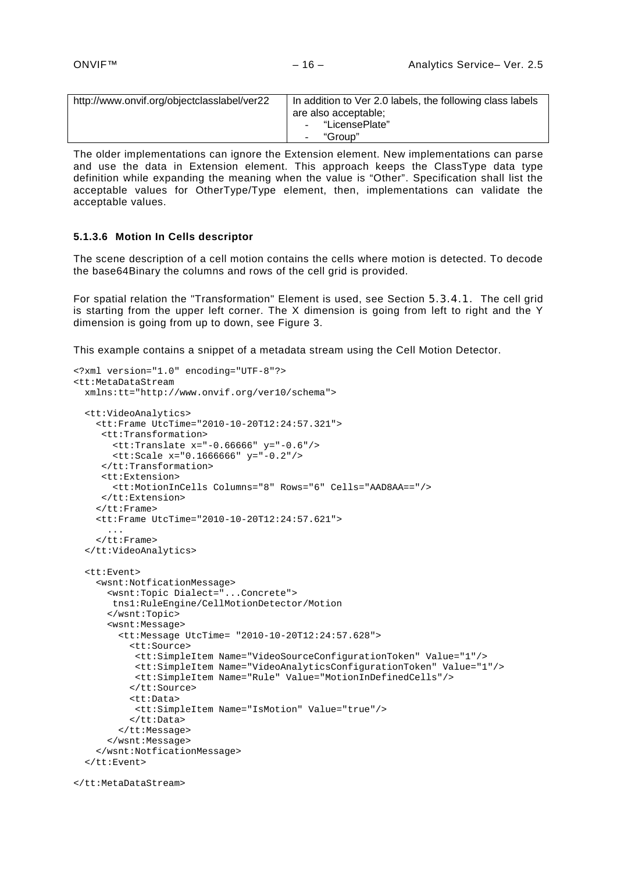| http://www.onvif.org/objectclasslabel/ver22 | In addition to Ver 2.0 labels, the following class labels |
|---------------------------------------------|-----------------------------------------------------------|
|                                             | are also acceptable;                                      |
|                                             | - "LicensePlate"                                          |
|                                             | "Group"                                                   |

The older implementations can ignore the Extension element. New implementations can parse and use the data in Extension element. This approach keeps the ClassType data type definition while expanding the meaning when the value is "Other". Specification shall list the acceptable values for OtherType/Type element, then, implementations can validate the acceptable values.

#### **5.1.3.6 Motion In Cells descriptor**

The scene description of a cell motion contains the cells where motion is detected. To decode the base64Binary the columns and rows of the cell grid is provided.

For spatial relation the "Transformation" Element is used, see Section 5.3.4.1. The cell grid is starting from the upper left corner. The X dimension is going from left to right and the Y dimension is going from up to down, see [Figure 3.](#page-37-0)

This example contains a snippet of a metadata stream using the Cell Motion Detector.

```
<?xml version="1.0" encoding="UTF-8"?>
<tt:MetaDataStream 
  xmlns:tt="http://www.onvif.org/ver10/schema">
   <tt:VideoAnalytics>
     <tt:Frame UtcTime="2010-10-20T12:24:57.321">
      <tt:Transformation>
        <tt:Translate x="-0.66666" y="-0.6"/>
        <tt:Scale x="0.1666666" y="-0.2"/>
      </tt:Transformation>
      <tt:Extension>
        <tt:MotionInCells Columns="8" Rows="6" Cells="AAD8AA=="/>
      </tt:Extension> 
    \epsilon/\uparrowt\uparrow: Frame>
     <tt:Frame UtcTime="2010-10-20T12:24:57.621">
       ...
     </tt:Frame>
   </tt:VideoAnalytics>
   <tt:Event>
     <wsnt:NotficationMessage>
       <wsnt:Topic Dialect="...Concrete">
        tns1:RuleEngine/CellMotionDetector/Motion
       </wsnt:Topic>
       <wsnt:Message>
         <tt:Message UtcTime= "2010-10-20T12:24:57.628">
           <tt:Source>
            <tt:SimpleItem Name="VideoSourceConfigurationToken" Value="1"/>
            <tt:SimpleItem Name="VideoAnalyticsConfigurationToken" Value="1"/>
            <tt:SimpleItem Name="Rule" Value="MotionInDefinedCells"/>
           </tt:Source> 
           <tt:Data>
            <tt:SimpleItem Name="IsMotion" Value="true"/>
           </tt:Data>
         </tt:Message>
       </wsnt:Message>
     </wsnt:NotficationMessage>
   </tt:Event>
```

```
</tt:MetaDataStream>
```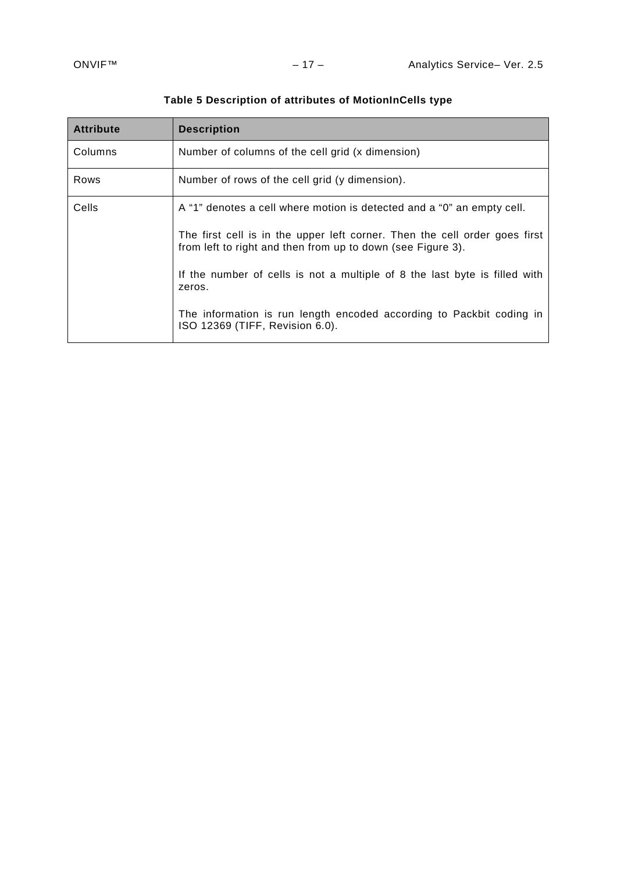| <b>Attribute</b> | <b>Description</b>                                                                                                                        |
|------------------|-------------------------------------------------------------------------------------------------------------------------------------------|
| Columns          | Number of columns of the cell grid (x dimension)                                                                                          |
| Rows             | Number of rows of the cell grid (y dimension).                                                                                            |
| Cells            | A "1" denotes a cell where motion is detected and a "0" an empty cell.                                                                    |
|                  | The first cell is in the upper left corner. Then the cell order goes first<br>from left to right and then from up to down (see Figure 3). |
|                  | If the number of cells is not a multiple of 8 the last byte is filled with<br>zeros.                                                      |
|                  | The information is run length encoded according to Packbit coding in<br>ISO 12369 (TIFF, Revision 6.0).                                   |

# **Table 5 Description of attributes of MotionInCells type**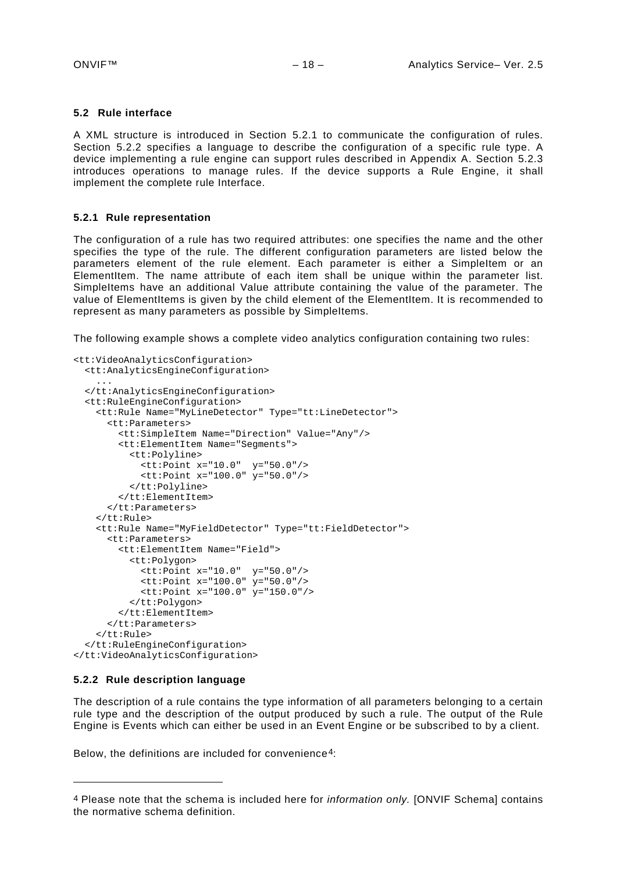#### <span id="page-17-0"></span>**5.2 Rule interface**

A XML structure is introduced in Section [5.2.1](#page-17-1) to communicate the configuration of rules. Section [5.2.2](#page-17-2) specifies a language to describe the configuration of a specific rule type. A device implementing a rule engine can support rules described in Appendix A. Section [5.2.3](#page-18-0) introduces operations to manage rules. If the device supports a Rule Engine, it shall implement the complete rule Interface.

#### <span id="page-17-1"></span>**5.2.1 Rule representation**

The configuration of a rule has two required attributes: one specifies the name and the other specifies the type of the rule. The different configuration parameters are listed below the parameters element of the rule element. Each parameter is either a SimpleItem or an ElementItem. The name attribute of each item shall be unique within the parameter list. SimpleItems have an additional Value attribute containing the value of the parameter. The value of ElementItems is given by the child element of the ElementItem. It is recommended to represent as many parameters as possible by SimpleItems.

The following example shows a complete video analytics configuration containing two rules:

```
<tt:VideoAnalyticsConfiguration>
  <tt:AnalyticsEngineConfiguration>
 ...
  </tt:AnalyticsEngineConfiguration>
  <tt:RuleEngineConfiguration>
     <tt:Rule Name="MyLineDetector" Type="tt:LineDetector">
       <tt:Parameters>
        <tt:SimpleItem Name="Direction" Value="Any"/>
         <tt:ElementItem Name="Segments">
          <tt:Polyline>
            <tt:Point x="10.0" y="50.0"/>
             <tt:Point x="100.0" y="50.0"/>
          </tt:Polyline>
        </tt:ElementItem>
       </tt:Parameters>
    </tt:Rule>
     <tt:Rule Name="MyFieldDetector" Type="tt:FieldDetector">
       <tt:Parameters>
         <tt:ElementItem Name="Field">
           <tt:Polygon>
            <tt:Point x="10.0" y="50.0"/>
 <tt:Point x="100.0" y="50.0"/>
 <tt:Point x="100.0" y="150.0"/>
          </tt:Polygon>
         </tt:ElementItem>
      </tt:Parameters>
   \langlett:Rule>
  </tt:RuleEngineConfiguration>
</tt:VideoAnalyticsConfiguration>
```
#### <span id="page-17-2"></span>**5.2.2 Rule description language**

-

The description of a rule contains the type information of all parameters belonging to a certain rule type and the description of the output produced by such a rule. The output of the Rule Engine is Events which can either be used in an Event Engine or be subscribed to by a client.

Below, the definitions are included for convenience[4:](#page-17-3)

<span id="page-17-3"></span><sup>4</sup> Please note that the schema is included here for *information only.* [ONVIF Schema] contains the normative schema definition.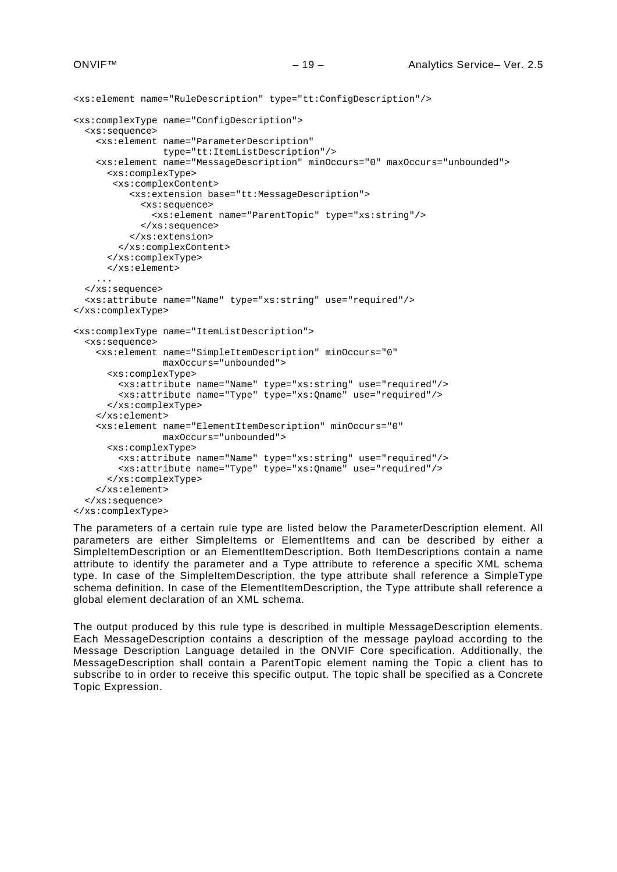```
<xs:element name="RuleDescription" type="tt:ConfigDescription"/>
<xs:complexType name="ConfigDescription">
   <xs:sequence>
     <xs:element name="ParameterDescription"
                type="tt:ItemListDescription"/>
     <xs:element name="MessageDescription" minOccurs="0" maxOccurs="unbounded">
       <xs:complexType>
        <xs:complexContent>
           <xs:extension base="tt:MessageDescription">
             <xs:sequence>
               <xs:element name="ParentTopic" type="xs:string"/>
             </xs:sequence>
           </xs:extension>
         </xs:complexContent>
       </xs:complexType>
       </xs:element>
     ...
   </xs:sequence>
   <xs:attribute name="Name" type="xs:string" use="required"/>
</xs:complexType>
<xs:complexType name="ItemListDescription">
   <xs:sequence>
     <xs:element name="SimpleItemDescription" minOccurs="0"
                 maxOccurs="unbounded">
       <xs:complexType>
         <xs:attribute name="Name" type="xs:string" use="required"/>
         <xs:attribute name="Type" type="xs:Qname" use="required"/>
       </xs:complexType>
     </xs:element>
     <xs:element name="ElementItemDescription" minOccurs="0"
                 maxOccurs="unbounded">
       <xs:complexType>
         <xs:attribute name="Name" type="xs:string" use="required"/>
         <xs:attribute name="Type" type="xs:Qname" use="required"/>
       </xs:complexType>
     </xs:element>
   </xs:sequence>
</xs:complexType>
```
The parameters of a certain rule type are listed below the ParameterDescription element. All parameters are either SimpleItems or ElementItems and can be described by either a SimpleItemDescription or an ElementItemDescription. Both ItemDescriptions contain a name attribute to identify the parameter and a Type attribute to reference a specific XML schema type. In case of the SimpleItemDescription, the type attribute shall reference a SimpleType schema definition. In case of the ElementItemDescription, the Type attribute shall reference a global element declaration of an XML schema.

<span id="page-18-0"></span>The output produced by this rule type is described in multiple MessageDescription elements. Each MessageDescription contains a description of the message payload according to the Message Description Language detailed in the ONVIF Core specification. Additionally, the MessageDescription shall contain a ParentTopic element naming the Topic a client has to subscribe to in order to receive this specific output. The topic shall be specified as a Concrete Topic Expression.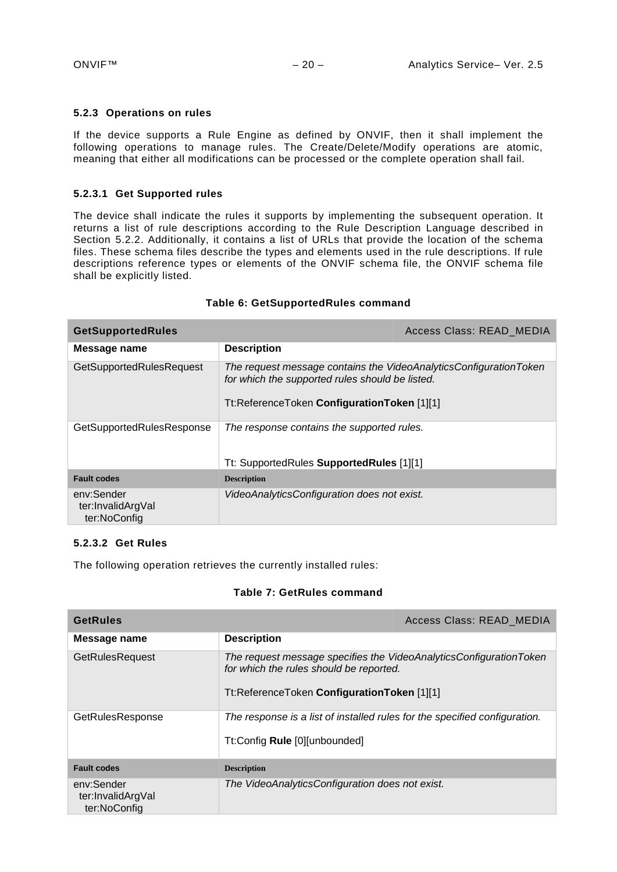#### <span id="page-19-0"></span>**5.2.3 Operations on rules**

If the device supports a Rule Engine as defined by ONVIF, then it shall implement the following operations to manage rules. The Create/Delete/Modify operations are atomic, meaning that either all modifications can be processed or the complete operation shall fail.

#### **5.2.3.1 Get Supported rules**

The device shall indicate the rules it supports by implementing the subsequent operation. It returns a list of rule descriptions according to the Rule Description Language described in Section [5.2.2.](#page-17-2) Additionally, it contains a list of URLs that provide the location of the schema files. These schema files describe the types and elements used in the rule descriptions. If rule descriptions reference types or elements of the ONVIF schema file, the ONVIF schema file shall be explicitly listed.

| <b>GetSupportedRules</b>                        | Access Class: READ MEDIA                                                                                                                                            |  |
|-------------------------------------------------|---------------------------------------------------------------------------------------------------------------------------------------------------------------------|--|
| Message name                                    | <b>Description</b>                                                                                                                                                  |  |
| GetSupportedRulesRequest                        | The request message contains the VideoAnalyticsConfigurationToken<br>for which the supported rules should be listed.<br>Tt:ReferenceToken ConfigurationToken [1][1] |  |
| GetSupportedRulesResponse                       | The response contains the supported rules.<br>Tt: SupportedRules SupportedRules [1][1]                                                                              |  |
| <b>Fault codes</b>                              | <b>Description</b>                                                                                                                                                  |  |
| env:Sender<br>ter:InvalidArgVal<br>ter:NoConfig | VideoAnalyticsConfiguration does not exist.                                                                                                                         |  |

# **Table 6: GetSupportedRules command**

#### **5.2.3.2 Get Rules**

The following operation retrieves the currently installed rules:

#### **Table 7: GetRules command**

| GetRules                                        |                                                                                                                                                              | Access Class: READ MEDIA |
|-------------------------------------------------|--------------------------------------------------------------------------------------------------------------------------------------------------------------|--------------------------|
| Message name                                    | <b>Description</b>                                                                                                                                           |                          |
| <b>GetRulesRequest</b>                          | The request message specifies the VideoAnalyticsConfigurationToken<br>for which the rules should be reported.<br>Tt:ReferenceToken ConfigurationToken [1][1] |                          |
| GetRulesResponse                                | The response is a list of installed rules for the specified configuration.<br>Tt:Config Rule [0][unbounded]                                                  |                          |
| <b>Fault codes</b>                              | <b>Description</b>                                                                                                                                           |                          |
| env:Sender<br>ter:InvalidArgVal<br>ter:NoConfig | The VideoAnalyticsConfiguration does not exist.                                                                                                              |                          |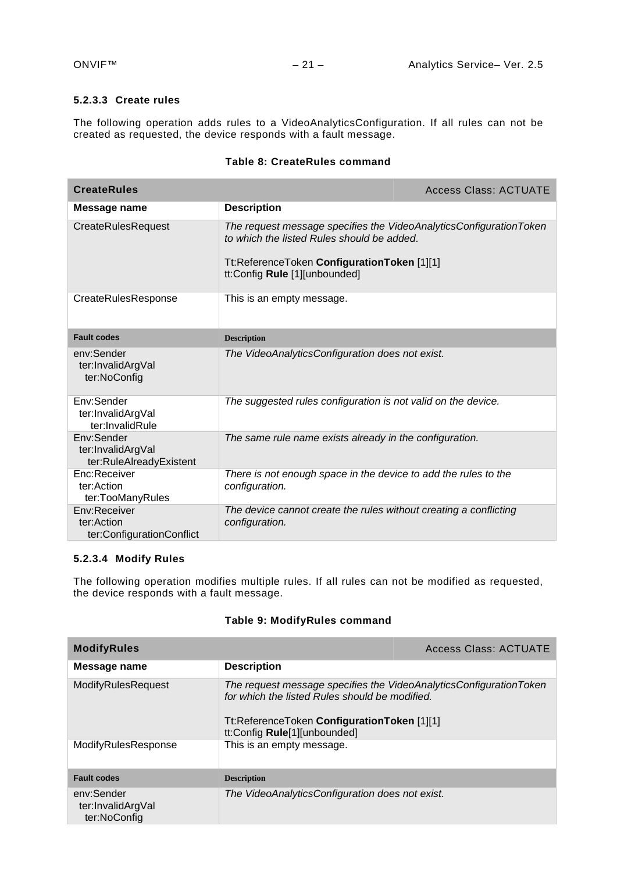# **5.2.3.3 Create rules**

The following operation adds rules to a VideoAnalyticsConfiguration. If all rules can not be created as requested, the device responds with a fault message.

| <b>CreateRules</b>                                         |                                                                                                                                                                                                  | Access Class: ACTUATE |
|------------------------------------------------------------|--------------------------------------------------------------------------------------------------------------------------------------------------------------------------------------------------|-----------------------|
| Message name                                               | <b>Description</b>                                                                                                                                                                               |                       |
| <b>CreateRulesRequest</b>                                  | The request message specifies the VideoAnalyticsConfigurationToken<br>to which the listed Rules should be added.<br>Tt:ReferenceToken ConfigurationToken [1][1]<br>tt:Config Rule [1][unbounded] |                       |
| CreateRulesResponse                                        | This is an empty message.                                                                                                                                                                        |                       |
| <b>Fault codes</b>                                         | <b>Description</b>                                                                                                                                                                               |                       |
| env:Sender<br>ter:InvalidArgVal<br>ter:NoConfig            | The VideoAnalyticsConfiguration does not exist.                                                                                                                                                  |                       |
| Env:Sender<br>ter:InvalidArgVal<br>ter:InvalidRule         | The suggested rules configuration is not valid on the device.                                                                                                                                    |                       |
| Env:Sender<br>ter:InvalidArgVal<br>ter:RuleAlreadyExistent | The same rule name exists already in the configuration.                                                                                                                                          |                       |
| Enc:Receiver<br>ter:Action<br>ter:TooManyRules             | There is not enough space in the device to add the rules to the<br>configuration.                                                                                                                |                       |
| Env:Receiver<br>ter:Action<br>ter:ConfigurationConflict    | The device cannot create the rules without creating a conflicting<br>configuration.                                                                                                              |                       |

# **Table 8: CreateRules command**

### **5.2.3.4 Modify Rules**

The following operation modifies multiple rules. If all rules can not be modified as requested, the device responds with a fault message.

# **Table 9: ModifyRules command**

| <b>ModifyRules</b>                              |                                                                                                                                                                                                     | Access Class: ACTUATE |
|-------------------------------------------------|-----------------------------------------------------------------------------------------------------------------------------------------------------------------------------------------------------|-----------------------|
| Message name                                    | <b>Description</b>                                                                                                                                                                                  |                       |
| ModifyRulesRequest                              | The request message specifies the VideoAnalyticsConfigurationToken<br>for which the listed Rules should be modified.<br>Tt:ReferenceToken ConfigurationToken [1][1]<br>tt:Config Rule[1][unbounded] |                       |
| ModifyRulesResponse                             | This is an empty message.                                                                                                                                                                           |                       |
| <b>Fault codes</b>                              | <b>Description</b>                                                                                                                                                                                  |                       |
| env:Sender<br>ter:InvalidArgVal<br>ter:NoConfig | The VideoAnalyticsConfiguration does not exist.                                                                                                                                                     |                       |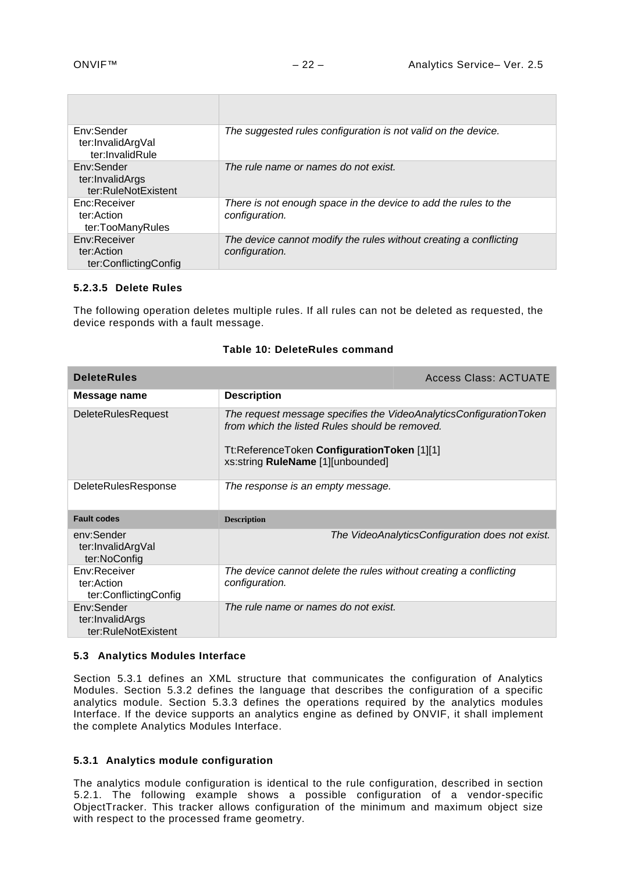| Env:Sender<br>ter:InvalidArgVal<br>ter:InvalidRule   | The suggested rules configuration is not valid on the device.                       |
|------------------------------------------------------|-------------------------------------------------------------------------------------|
| Env:Sender<br>ter:InvalidArgs<br>ter:RuleNotExistent | The rule name or names do not exist.                                                |
| Enc:Receiver<br>ter:Action<br>ter:TooManyRules       | There is not enough space in the device to add the rules to the<br>configuration.   |
| Env:Receiver<br>ter:Action<br>ter:ConflictingConfig  | The device cannot modify the rules without creating a conflicting<br>configuration. |

#### **5.2.3.5 Delete Rules**

The following operation deletes multiple rules. If all rules can not be deleted as requested, the device responds with a fault message.

| <b>DeleteRules</b>                                   |                                                                                                                                                                                                          | <b>Access Class: ACTUATE</b>                    |
|------------------------------------------------------|----------------------------------------------------------------------------------------------------------------------------------------------------------------------------------------------------------|-------------------------------------------------|
| Message name                                         | <b>Description</b>                                                                                                                                                                                       |                                                 |
| <b>DeleteRulesRequest</b>                            | The request message specifies the VideoAnalyticsConfigurationToken<br>from which the listed Rules should be removed.<br>Tt:ReferenceToken ConfigurationToken [1][1]<br>xs:string RuleName [1][unbounded] |                                                 |
| <b>DeleteRulesResponse</b>                           | The response is an empty message.                                                                                                                                                                        |                                                 |
| <b>Fault codes</b>                                   | <b>Description</b>                                                                                                                                                                                       |                                                 |
| env:Sender<br>ter:InvalidArgVal<br>ter:NoConfig      |                                                                                                                                                                                                          | The VideoAnalyticsConfiguration does not exist. |
| Env:Receiver<br>ter:Action<br>ter:ConflictingConfig  | The device cannot delete the rules without creating a conflicting<br>configuration.                                                                                                                      |                                                 |
| Env:Sender<br>ter:InvalidArgs<br>ter:RuleNotExistent | The rule name or names do not exist.                                                                                                                                                                     |                                                 |

#### **Table 10: DeleteRules command**

#### <span id="page-21-0"></span>**5.3 Analytics Modules Interface**

Section [5.3.1](#page-21-1) defines an XML structure that communicates the configuration of Analytics Modules. Section [5.3.2](#page-22-0) defines the language that describes the configuration of a specific analytics module. Section [5.3.3](#page-22-1) defines the operations required by the analytics modules Interface. If the device supports an analytics engine as defined by ONVIF, it shall implement the complete Analytics Modules Interface.

#### <span id="page-21-1"></span>**5.3.1 Analytics module configuration**

The analytics module configuration is identical to the rule configuration, described in section [5.2.1.](#page-17-1) The following example shows a possible configuration of a vendor-specific ObjectTracker. This tracker allows configuration of the minimum and maximum object size with respect to the processed frame geometry.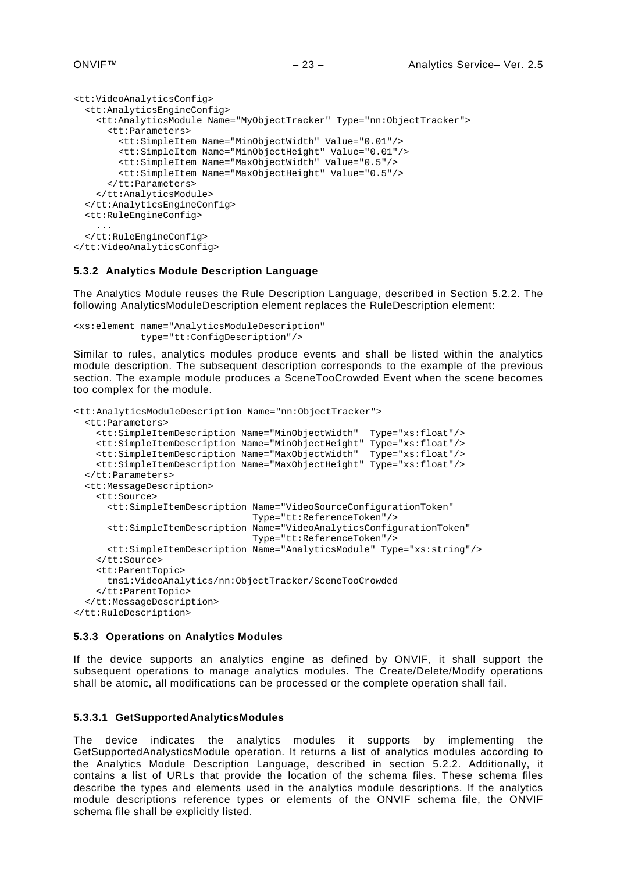```
<tt:VideoAnalyticsConfig>
   <tt:AnalyticsEngineConfig>
     <tt:AnalyticsModule Name="MyObjectTracker" Type="nn:ObjectTracker">
       <tt:Parameters>
         <tt:SimpleItem Name="MinObjectWidth" Value="0.01"/>
         <tt:SimpleItem Name="MinObjectHeight" Value="0.01"/>
         <tt:SimpleItem Name="MaxObjectWidth" Value="0.5"/>
         <tt:SimpleItem Name="MaxObjectHeight" Value="0.5"/>
       </tt:Parameters>
     </tt:AnalyticsModule>
   </tt:AnalyticsEngineConfig>
   <tt:RuleEngineConfig>
 ...
   </tt:RuleEngineConfig>
</tt:VideoAnalyticsConfig>
```
#### <span id="page-22-0"></span>**5.3.2 Analytics Module Description Language**

The Analytics Module reuses the Rule Description Language, described in Section [5.2.2.](#page-17-2) The following AnalyticsModuleDescription element replaces the RuleDescription element:

```
<xs:element name="AnalyticsModuleDescription"
             type="tt:ConfigDescription"/>
```
Similar to rules, analytics modules produce events and shall be listed within the analytics module description. The subsequent description corresponds to the example of the previous section. The example module produces a SceneTooCrowded Event when the scene becomes too complex for the module.

```
<tt:AnalyticsModuleDescription Name="nn:ObjectTracker">
   <tt:Parameters>
     <tt:SimpleItemDescription Name="MinObjectWidth" Type="xs:float"/>
     <tt:SimpleItemDescription Name="MinObjectHeight" Type="xs:float"/>
     <tt:SimpleItemDescription Name="MaxObjectWidth" Type="xs:float"/>
     <tt:SimpleItemDescription Name="MaxObjectHeight" Type="xs:float"/>
   </tt:Parameters>
   <tt:MessageDescription>
     <tt:Source>
       <tt:SimpleItemDescription Name="VideoSourceConfigurationToken"
                                 Type="tt:ReferenceToken"/>
       <tt:SimpleItemDescription Name="VideoAnalyticsConfigurationToken"
                                 Type="tt:ReferenceToken"/>
       <tt:SimpleItemDescription Name="AnalyticsModule" Type="xs:string"/>
     </tt:Source>
     <tt:ParentTopic>
      tns1:VideoAnalytics/nn:ObjectTracker/SceneTooCrowded
     </tt:ParentTopic>
   </tt:MessageDescription>
</tt:RuleDescription>
```
#### <span id="page-22-1"></span>**5.3.3 Operations on Analytics Modules**

If the device supports an analytics engine as defined by ONVIF, it shall support the subsequent operations to manage analytics modules. The Create/Delete/Modify operations shall be atomic, all modifications can be processed or the complete operation shall fail.

#### **5.3.3.1 GetSupportedAnalyticsModules**

The device indicates the analytics modules it supports by implementing the GetSupportedAnalysticsModule operation. It returns a list of analytics modules according to the Analytics Module Description Language, described in section [5.2.2.](#page-17-2) Additionally, it contains a list of URLs that provide the location of the schema files. These schema files describe the types and elements used in the analytics module descriptions. If the analytics module descriptions reference types or elements of the ONVIF schema file, the ONVIF schema file shall be explicitly listed.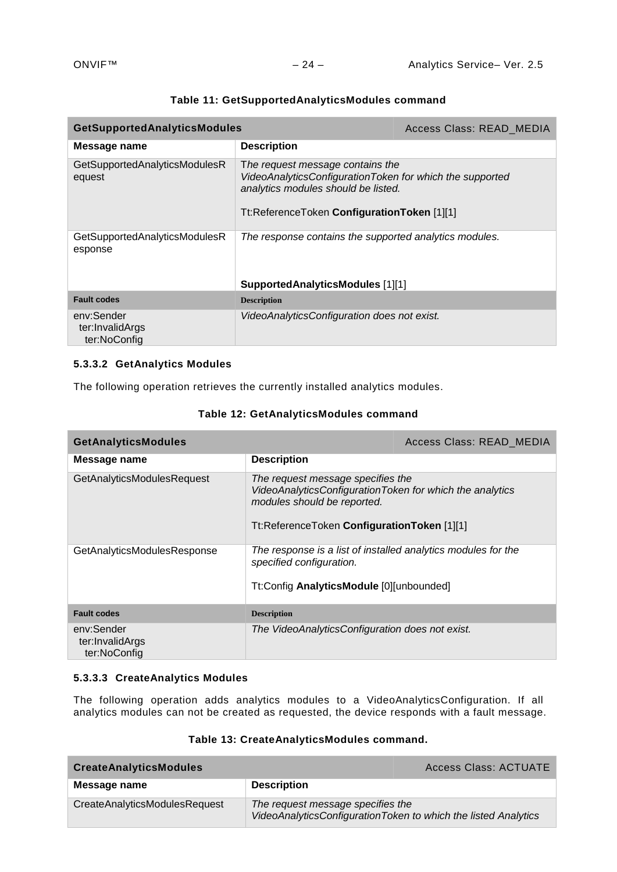| <b>GetSupportedAnalyticsModules</b>           |                                                                                                                                                                                    | Access Class: READ MEDIA |
|-----------------------------------------------|------------------------------------------------------------------------------------------------------------------------------------------------------------------------------------|--------------------------|
| Message name                                  | <b>Description</b>                                                                                                                                                                 |                          |
| GetSupportedAnalyticsModulesR<br>equest       | The request message contains the<br>VideoAnalyticsConfigurationToken for which the supported<br>analytics modules should be listed.<br>Tt:ReferenceToken ConfigurationToken [1][1] |                          |
| GetSupportedAnalyticsModulesR<br>esponse      | The response contains the supported analytics modules.                                                                                                                             |                          |
|                                               | SupportedAnalyticsModules [1][1]                                                                                                                                                   |                          |
| <b>Fault codes</b>                            | <b>Description</b>                                                                                                                                                                 |                          |
| env:Sender<br>ter:InvalidArgs<br>ter:NoConfig | VideoAnalyticsConfiguration does not exist.                                                                                                                                        |                          |

### **Table 11: GetSupportedAnalyticsModules command**

# **5.3.3.2 GetAnalytics Modules**

The following operation retrieves the currently installed analytics modules.

# **Table 12: GetAnalyticsModules command**

| <b>GetAnalyticsModules</b>                    |                                                                                                                                                                             | Access Class: READ_MEDIA |
|-----------------------------------------------|-----------------------------------------------------------------------------------------------------------------------------------------------------------------------------|--------------------------|
| Message name                                  | <b>Description</b>                                                                                                                                                          |                          |
| GetAnalyticsModulesRequest                    | The request message specifies the<br>VideoAnalyticsConfigurationToken for which the analytics<br>modules should be reported.<br>Tt:ReferenceToken ConfigurationToken [1][1] |                          |
| GetAnalyticsModulesResponse                   | The response is a list of installed analytics modules for the<br>specified configuration.<br>Tt:Config AnalyticsModule [0][unbounded]                                       |                          |
| <b>Fault codes</b>                            | <b>Description</b>                                                                                                                                                          |                          |
| env:Sender<br>ter:InvalidArgs<br>ter:NoConfig | The VideoAnalyticsConfiguration does not exist.                                                                                                                             |                          |

# **5.3.3.3 CreateAnalytics Modules**

The following operation adds analytics modules to a VideoAnalyticsConfiguration. If all analytics modules can not be created as requested, the device responds with a fault message.

# **Table 13: CreateAnalyticsModules command.**

| <b>CreateAnalyticsModules</b> |                                   | <b>Access Class: ACTUATE</b>                                   |
|-------------------------------|-----------------------------------|----------------------------------------------------------------|
| Message name                  | <b>Description</b>                |                                                                |
| CreateAnalyticsModulesRequest | The request message specifies the | VideoAnalyticsConfigurationToken to which the listed Analytics |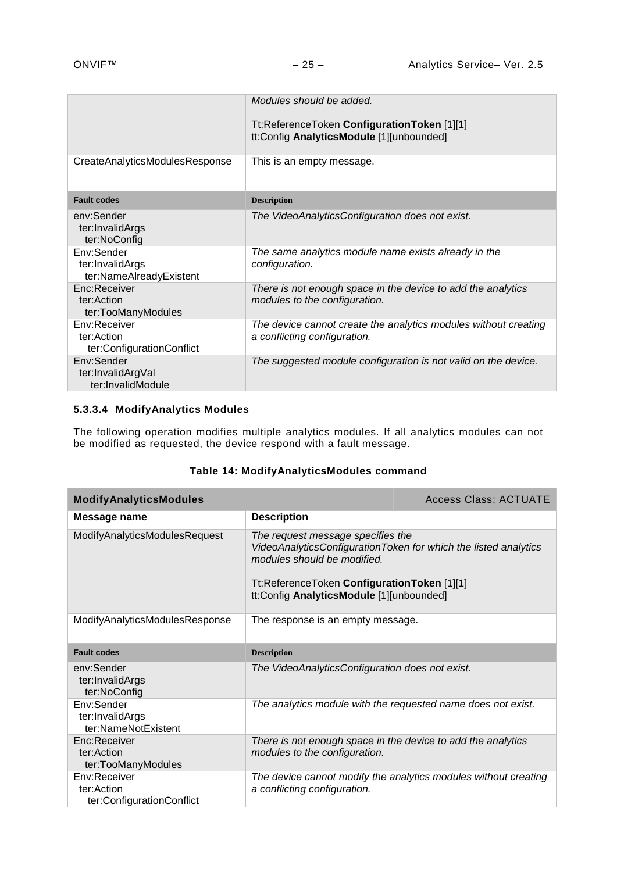|                                                           | Modules should be added.<br>Tt:ReferenceToken ConfigurationToken [1][1]<br>tt:Config AnalyticsModule [1][unbounded] |
|-----------------------------------------------------------|---------------------------------------------------------------------------------------------------------------------|
| CreateAnalyticsModulesResponse                            | This is an empty message.                                                                                           |
| <b>Fault codes</b>                                        | <b>Description</b>                                                                                                  |
| env:Sender<br>ter:InvalidArgs<br>ter:NoConfig             | The VideoAnalyticsConfiguration does not exist.                                                                     |
| Env:Sender<br>ter: InvalidArgs<br>ter:NameAlreadyExistent | The same analytics module name exists already in the<br>configuration.                                              |
| Enc:Receiver<br>ter:Action<br>ter:TooManyModules          | There is not enough space in the device to add the analytics<br>modules to the configuration.                       |
| Env:Receiver<br>ter:Action<br>ter:ConfigurationConflict   | The device cannot create the analytics modules without creating<br>a conflicting configuration.                     |
| Env:Sender<br>ter:InvalidArgVal<br>ter:InvalidModule      | The suggested module configuration is not valid on the device.                                                      |

# **5.3.3.4 ModifyAnalytics Modules**

The following operation modifies multiple analytics modules. If all analytics modules can not be modified as requested, the device respond with a fault message.

|  |  |  |  |  |  | Table 14: ModifyAnalyticsModules command |
|--|--|--|--|--|--|------------------------------------------|
|--|--|--|--|--|--|------------------------------------------|

| <b>ModifyAnalyticsModules</b>                           |                                                                                                                                                             | <b>Access Class: ACTUATE</b>                                    |
|---------------------------------------------------------|-------------------------------------------------------------------------------------------------------------------------------------------------------------|-----------------------------------------------------------------|
| Message name                                            | <b>Description</b>                                                                                                                                          |                                                                 |
| ModifyAnalyticsModulesRequest                           | The request message specifies the<br>modules should be modified.<br>Tt:ReferenceToken ConfigurationToken [1][1]<br>tt:Config AnalyticsModule [1][unbounded] | VideoAnalyticsConfigurationToken for which the listed analytics |
| ModifyAnalyticsModulesResponse                          | The response is an empty message.                                                                                                                           |                                                                 |
| <b>Fault codes</b>                                      | <b>Description</b>                                                                                                                                          |                                                                 |
| env:Sender<br>ter:InvalidArgs<br>ter:NoConfig           | The VideoAnalyticsConfiguration does not exist.                                                                                                             |                                                                 |
| Env:Sender<br>ter:InvalidArgs<br>ter:NameNotExistent    | The analytics module with the requested name does not exist.                                                                                                |                                                                 |
| Enc:Receiver<br>ter:Action<br>ter:TooManyModules        | There is not enough space in the device to add the analytics<br>modules to the configuration.                                                               |                                                                 |
| Env:Receiver<br>ter:Action<br>ter:ConfigurationConflict | a conflicting configuration.                                                                                                                                | The device cannot modify the analytics modules without creating |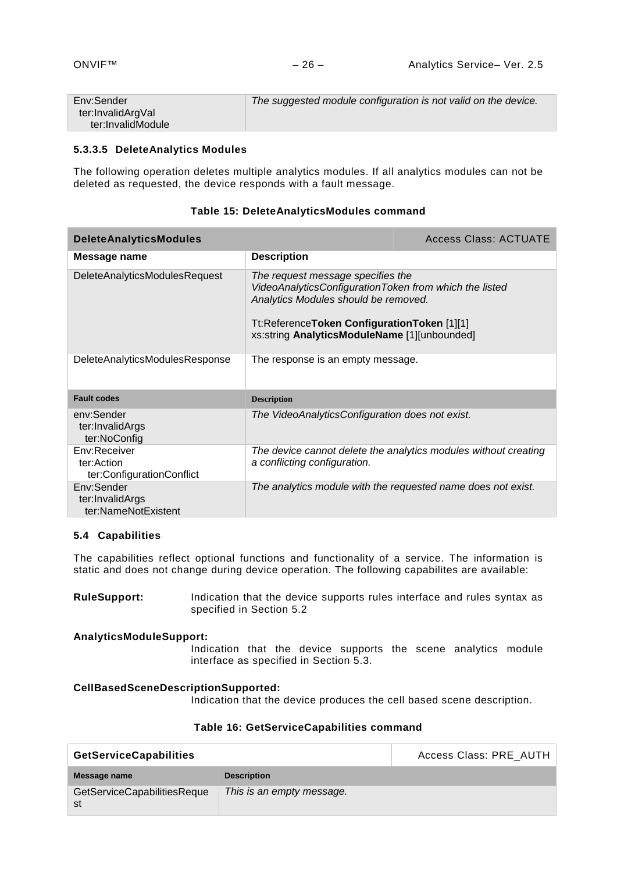| Env:Sender        | The suggested module configuration is not valid on the device. |
|-------------------|----------------------------------------------------------------|
| ter:InvalidArgVal |                                                                |
| ter:InvalidModule |                                                                |

#### **5.3.3.5 DeleteAnalytics Modules**

The following operation deletes multiple analytics modules. If all analytics modules can not be deleted as requested, the device responds with a fault message.

| <b>DeleteAnalyticsModules</b>                           |                                                                                                                                                                                                                                    | <b>Access Class: ACTUATE</b>                                    |
|---------------------------------------------------------|------------------------------------------------------------------------------------------------------------------------------------------------------------------------------------------------------------------------------------|-----------------------------------------------------------------|
| Message name                                            | <b>Description</b>                                                                                                                                                                                                                 |                                                                 |
| <b>DeleteAnalyticsModulesRequest</b>                    | The request message specifies the<br>VideoAnalyticsConfigurationToken from which the listed<br>Analytics Modules should be removed.<br>Tt:ReferenceToken ConfigurationToken [1][1]<br>xs:string AnalyticsModuleName [1][unbounded] |                                                                 |
| DeleteAnalyticsModulesResponse                          | The response is an empty message.                                                                                                                                                                                                  |                                                                 |
| <b>Fault codes</b>                                      | <b>Description</b>                                                                                                                                                                                                                 |                                                                 |
| env:Sender<br>ter:InvalidArgs<br>ter:NoConfig           | The VideoAnalyticsConfiguration does not exist.                                                                                                                                                                                    |                                                                 |
| Env:Receiver<br>ter:Action<br>ter:ConfigurationConflict | a conflicting configuration.                                                                                                                                                                                                       | The device cannot delete the analytics modules without creating |
| Env:Sender<br>ter:InvalidArgs<br>ter:NameNotExistent    | The analytics module with the requested name does not exist.                                                                                                                                                                       |                                                                 |

# **Table 15: DeleteAnalyticsModules command**

#### <span id="page-25-0"></span>**5.4 Capabilities**

The capabilities reflect optional functions and functionality of a service. The information is static and does not change during device operation. The following capabilites are available:

**RuleSupport:** Indication that the device supports rules interface and rules syntax as specified in Section 5.2

#### **AnalyticsModuleSupport:**

Indication that the device supports the scene analytics module interface as specified in Section 5.3.

#### **CellBasedSceneDescriptionSupported:**

Indication that the device produces the cell based scene description.

#### **Table 16: GetServiceCapabilities command**

| <b>GetServiceCapabilities</b> |                           | Access Class: PRE_AUTH |
|-------------------------------|---------------------------|------------------------|
| Message name                  | <b>Description</b>        |                        |
| GetServiceCapabilitiesReque   | This is an empty message. |                        |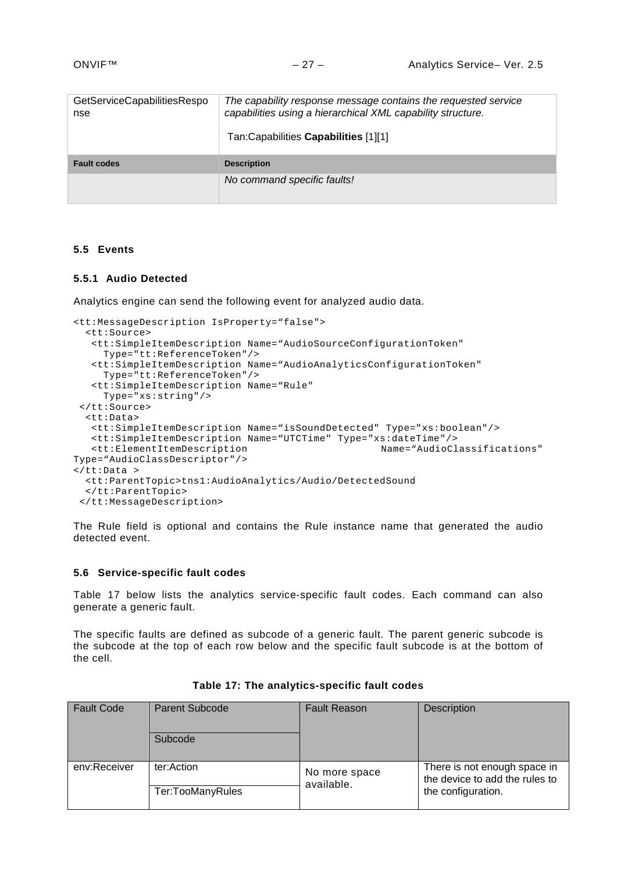| GetServiceCapabilitiesRespo<br>nse | The capability response message contains the requested service<br>capabilities using a hierarchical XML capability structure.<br>Tan:Capabilities Capabilities [1][1] |
|------------------------------------|-----------------------------------------------------------------------------------------------------------------------------------------------------------------------|
| <b>Fault codes</b>                 | <b>Description</b>                                                                                                                                                    |
|                                    | No command specific faults!                                                                                                                                           |

#### <span id="page-26-0"></span>**5.5 Events**

#### <span id="page-26-1"></span>**5.5.1 Audio Detected**

Analytics engine can send the following event for analyzed audio data.

```
<tt:MessageDescription IsProperty="false">
   <tt:Source>
    <tt:SimpleItemDescription Name="AudioSourceConfigurationToken"
      Type="tt:ReferenceToken"/>
    <tt:SimpleItemDescription Name="AudioAnalyticsConfigurationToken"
     Type="tt:ReferenceToken"/>
    <tt:SimpleItemDescription Name="Rule"
     Type="xs:string"/>
 </tt:Source>
   <tt:Data>
    <tt:SimpleItemDescription Name="isSoundDetected" Type="xs:boolean"/>
    <tt:SimpleItemDescription Name="UTCTime" Type="xs:dateTime"/>
   <tt:ElementItemDescription
Type="AudioClassDescriptor"/>
</tt:Data >
   <tt:ParentTopic>tns1:AudioAnalytics/Audio/DetectedSound
  </tt:ParentTopic>
 </tt:MessageDescription>
```
The Rule field is optional and contains the Rule instance name that generated the audio detected event.

#### <span id="page-26-2"></span>**5.6 Service-specific fault codes**

[Table 17](#page-26-3) below lists the analytics service-specific fault codes. Each command can also generate a generic fault.

The specific faults are defined as subcode of a generic fault. The parent generic subcode is the subcode at the top of each row below and the specific fault subcode is at the bottom of the cell.

<span id="page-26-3"></span>

| <b>Fault Code</b> | <b>Parent Subcode</b><br>Subcode | <b>Fault Reason</b>         | Description                                                    |
|-------------------|----------------------------------|-----------------------------|----------------------------------------------------------------|
| env:Receiver      | ter:Action                       | No more space<br>available. | There is not enough space in<br>the device to add the rules to |
|                   | Ter:TooManyRules                 |                             | the configuration.                                             |

| Table 17: The analytics-specific fault codes |  |  |  |
|----------------------------------------------|--|--|--|
|----------------------------------------------|--|--|--|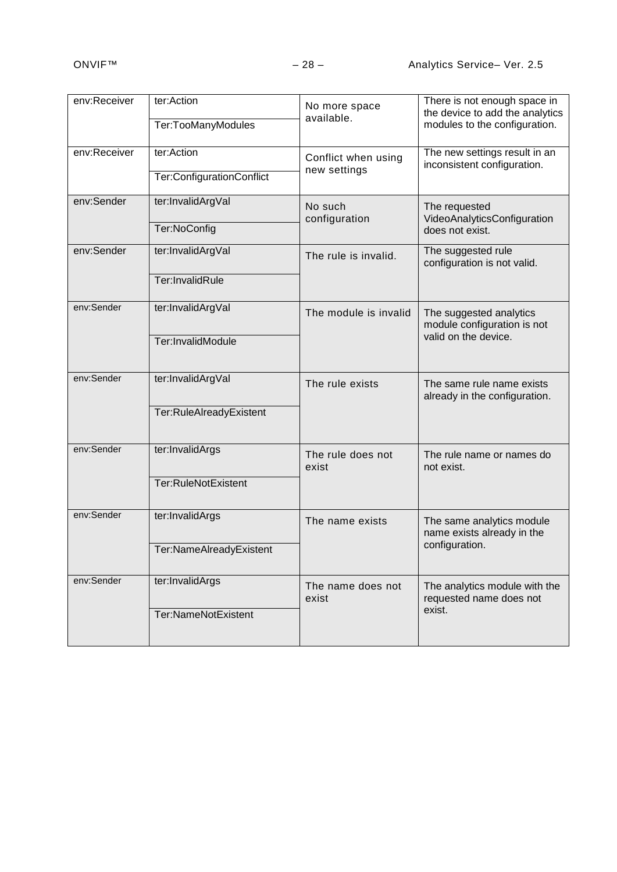| Ter:TooManyModules        | No more space<br>available. | There is not enough space in<br>the device to add the analytics<br>modules to the configuration. |
|---------------------------|-----------------------------|--------------------------------------------------------------------------------------------------|
| ter:Action                | Conflict when using         | The new settings result in an<br>inconsistent configuration.                                     |
| Ter:ConfigurationConflict |                             |                                                                                                  |
| ter:InvalidArgVal         | No such                     | The requested<br>VideoAnalyticsConfiguration                                                     |
| Ter:NoConfig              |                             | does not exist.                                                                                  |
| ter:InvalidArgVal         | The rule is invalid.        | The suggested rule<br>configuration is not valid.                                                |
| Ter:InvalidRule           |                             |                                                                                                  |
| ter:InvalidArgVal         | The module is invalid       | The suggested analytics<br>module configuration is not                                           |
| Ter:InvalidModule         |                             | valid on the device.                                                                             |
| ter:InvalidArgVal         | The rule exists             | The same rule name exists<br>already in the configuration.                                       |
| Ter:RuleAlreadyExistent   |                             |                                                                                                  |
| ter:InvalidArgs           | The rule does not<br>exist  | The rule name or names do<br>not exist.                                                          |
| Ter:RuleNotExistent       |                             |                                                                                                  |
| ter:InvalidArgs           | The name exists             | The same analytics module<br>name exists already in the                                          |
| Ter:NameAlreadyExistent   |                             | configuration.                                                                                   |
| ter:InvalidArgs           | The name does not<br>exist  | The analytics module with the<br>requested name does not                                         |
| Ter:NameNotExistent       |                             | exist.                                                                                           |
|                           | ter:Action                  | new settings<br>configuration                                                                    |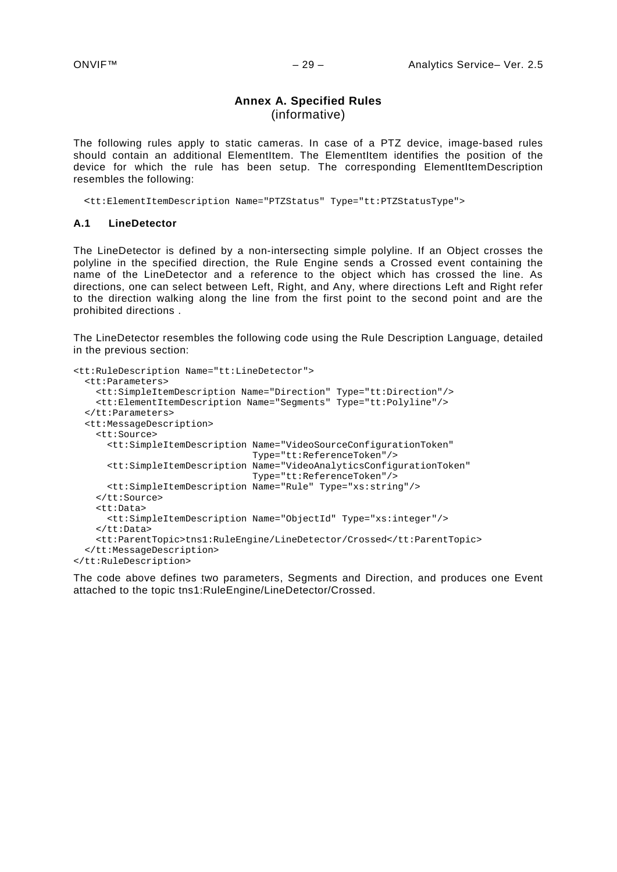# **Annex A. Specified Rules** (informative)

<span id="page-28-0"></span>The following rules apply to static cameras. In case of a PTZ device, image-based rules should contain an additional ElementItem. The ElementItem identifies the position of the device for which the rule has been setup. The corresponding ElementItemDescription resembles the following:

<tt:ElementItemDescription Name="PTZStatus" Type="tt:PTZStatusType">

#### <span id="page-28-1"></span>**A.1 LineDetector**

The LineDetector is defined by a non-intersecting simple polyline. If an Object crosses the polyline in the specified direction, the Rule Engine sends a Crossed event containing the name of the LineDetector and a reference to the object which has crossed the line. As directions, one can select between Left, Right, and Any, where directions Left and Right refer to the direction walking along the line from the first point to the second point and are the prohibited directions .

The LineDetector resembles the following code using the Rule Description Language, detailed in the previous section:

```
<tt:RuleDescription Name="tt:LineDetector">
   <tt:Parameters>
     <tt:SimpleItemDescription Name="Direction" Type="tt:Direction"/>
     <tt:ElementItemDescription Name="Segments" Type="tt:Polyline"/>
   </tt:Parameters>
   <tt:MessageDescription>
     <tt:Source>
       <tt:SimpleItemDescription Name="VideoSourceConfigurationToken"
                                 Type="tt:ReferenceToken"/>
       <tt:SimpleItemDescription Name="VideoAnalyticsConfigurationToken"
                                  Type="tt:ReferenceToken"/>
      <tt:SimpleItemDescription Name="Rule" Type="xs:string"/>
     </tt:Source>
     <tt:Data>
      <tt:SimpleItemDescription Name="ObjectId" Type="xs:integer"/>
     </tt:Data>
     <tt:ParentTopic>tns1:RuleEngine/LineDetector/Crossed</tt:ParentTopic>
   </tt:MessageDescription>
</tt:RuleDescription>
```
The code above defines two parameters, Segments and Direction, and produces one Event attached to the topic tns1:RuleEngine/LineDetector/Crossed.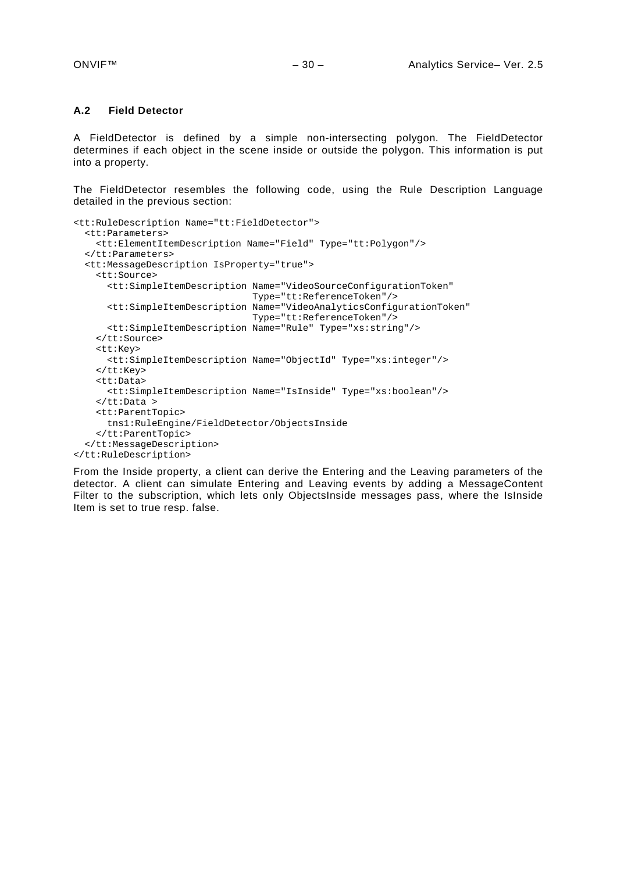#### <span id="page-29-0"></span>**A.2 Field Detector**

A FieldDetector is defined by a simple non-intersecting polygon. The FieldDetector determines if each object in the scene inside or outside the polygon. This information is put into a property.

The FieldDetector resembles the following code, using the Rule Description Language detailed in the previous section:

```
<tt:RuleDescription Name="tt:FieldDetector">
  <tt:Parameters>
     <tt:ElementItemDescription Name="Field" Type="tt:Polygon"/>
   </tt:Parameters>
   <tt:MessageDescription IsProperty="true">
     <tt:Source>
       <tt:SimpleItemDescription Name="VideoSourceConfigurationToken"
                                  Type="tt:ReferenceToken"/>
       <tt:SimpleItemDescription Name="VideoAnalyticsConfigurationToken"
                                  Type="tt:ReferenceToken"/>
      <tt:SimpleItemDescription Name="Rule" Type="xs:string"/>
     </tt:Source>
     <tt:Key>
      <tt:SimpleItemDescription Name="ObjectId" Type="xs:integer"/>
     </tt:Key>
     <tt:Data>
      <tt:SimpleItemDescription Name="IsInside" Type="xs:boolean"/>
     </tt:Data >
     <tt:ParentTopic>
      tns1:RuleEngine/FieldDetector/ObjectsInside
     </tt:ParentTopic>
   </tt:MessageDescription>
</tt:RuleDescription>
```
From the Inside property, a client can derive the Entering and the Leaving parameters of the detector. A client can simulate Entering and Leaving events by adding a MessageContent Filter to the subscription, which lets only ObjectsInside messages pass, where the IsInside Item is set to true resp. false.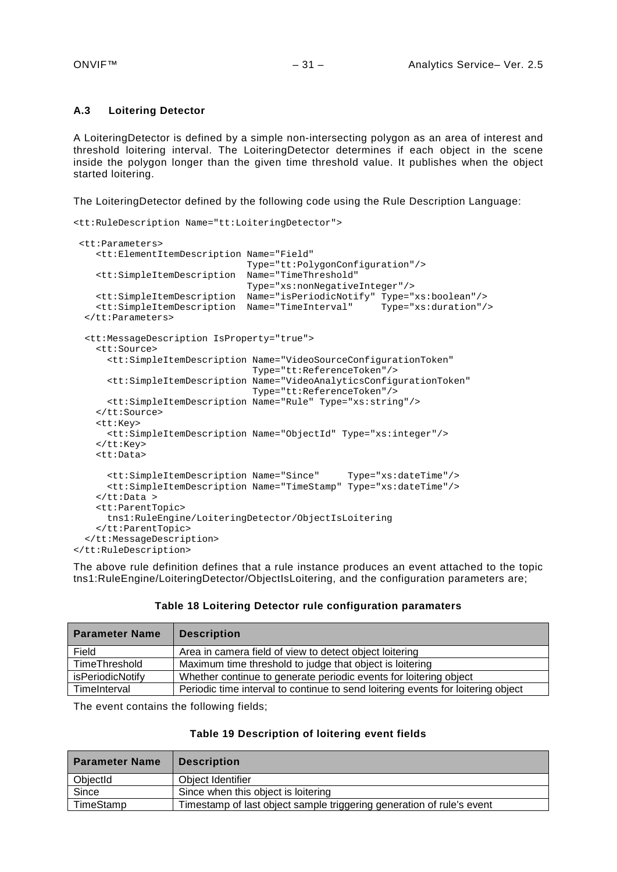#### <span id="page-30-0"></span>**A.3 Loitering Detector**

A LoiteringDetector is defined by a simple non-intersecting polygon as an area of interest and threshold loitering interval. The LoiteringDetector determines if each object in the scene inside the polygon longer than the given time threshold value. It publishes when the object started loitering.

The LoiteringDetector defined by the following code using the Rule Description Language:

```
<tt:RuleDescription Name="tt:LoiteringDetector">
 <tt:Parameters>
    <tt:ElementItemDescription Name="Field"
                                Type="tt:PolygonConfiguration"/>
    <tt:SimpleItemDescription Name="TimeThreshold" 
                                Type="xs:nonNegativeInteger"/>
 <tt:SimpleItemDescription Name="isPeriodicNotify" Type="xs:boolean"/>
 <tt:SimpleItemDescription Name="TimeInterval" Type="xs:duration"/>
 </tt:Parameters>
  <tt:MessageDescription IsProperty="true">
    <tt:Source>
       <tt:SimpleItemDescription Name="VideoSourceConfigurationToken"
                                 Type="tt:ReferenceToken"/>
       <tt:SimpleItemDescription Name="VideoAnalyticsConfigurationToken"
                                 Type="tt:ReferenceToken"/>
      <tt:SimpleItemDescription Name="Rule" Type="xs:string"/>
    </tt:Source>
     <tt:Key>
      <tt:SimpleItemDescription Name="ObjectId" Type="xs:integer"/>
    </tt:Key>
    <tt:Data>
       <tt:SimpleItemDescription Name="Since" Type="xs:dateTime"/>
       <tt:SimpleItemDescription Name="TimeStamp" Type="xs:dateTime"/>
    </tt:Data >
    <tt:ParentTopic>
      tns1:RuleEngine/LoiteringDetector/ObjectIsLoitering
     </tt:ParentTopic>
  </tt:MessageDescription>
</tt:RuleDescription>
```
The above rule definition defines that a rule instance produces an event attached to the topic tns1:RuleEngine/LoiteringDetector/ObjectIsLoitering, and the configuration parameters are;

|  |  | Table 18 Loitering Detector rule configuration paramaters |  |
|--|--|-----------------------------------------------------------|--|
|--|--|-----------------------------------------------------------|--|

| <b>Parameter Name</b> | <b>Description</b>                                                               |
|-----------------------|----------------------------------------------------------------------------------|
| Field                 | Area in camera field of view to detect object loitering                          |
| TimeThreshold         | Maximum time threshold to judge that object is loitering                         |
| isPeriodicNotify      | Whether continue to generate periodic events for loitering object                |
| TimeInterval          | Periodic time interval to continue to send loitering events for loitering object |

The event contains the following fields;

|  | Table 19 Description of loitering event fields |  |  |
|--|------------------------------------------------|--|--|
|--|------------------------------------------------|--|--|

| <b>Parameter Name</b> | <b>Description</b>                                                    |
|-----------------------|-----------------------------------------------------------------------|
| ObjectId              | Obiect Identifier                                                     |
| Since                 | Since when this object is loitering                                   |
| TimeStamp             | Timestamp of last object sample triggering generation of rule's event |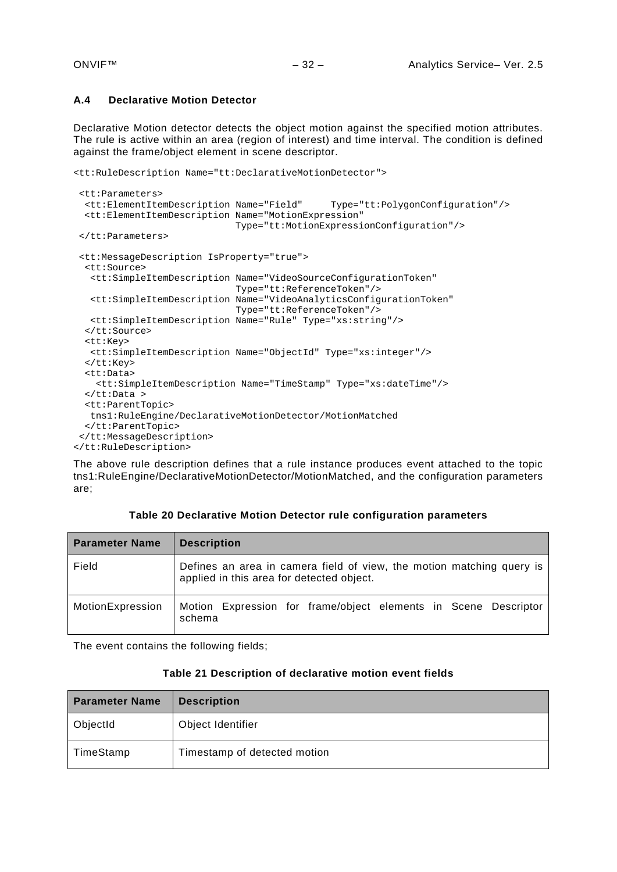# <span id="page-31-0"></span>**A.4 Declarative Motion Detector**

Declarative Motion detector detects the object motion against the specified motion attributes. The rule is active within an area (region of interest) and time interval. The condition is defined against the frame/object element in scene descriptor.

```
<tt:RuleDescription Name="tt:DeclarativeMotionDetector">
```

```
<tt:Parameters>
  <tt:ElementItemDescription Name="Field" Type="tt:PolygonConfiguration"/>
  <tt:ElementItemDescription Name="MotionExpression" 
                              Type="tt:MotionExpressionConfiguration"/>
</tt:Parameters>
 <tt:MessageDescription IsProperty="true">
   <tt:Source>
    <tt:SimpleItemDescription Name="VideoSourceConfigurationToken"
                              Type="tt:ReferenceToken"/>
   <tt:SimpleItemDescription Name="VideoAnalyticsConfigurationToken"
                              Type="tt:ReferenceToken"/>
   <tt:SimpleItemDescription Name="Rule" Type="xs:string"/>
   </tt:Source>
   <tt:Key>
   <tt:SimpleItemDescription Name="ObjectId" Type="xs:integer"/>
   </tt:Key>
   <tt:Data>
     <tt:SimpleItemDescription Name="TimeStamp" Type="xs:dateTime"/> 
   </tt:Data >
   <tt:ParentTopic>
   tns1:RuleEngine/DeclarativeMotionDetector/MotionMatched
  </tt:ParentTopic>
</tt:MessageDescription>
</tt:RuleDescription>
```
The above rule description defines that a rule instance produces event attached to the topic tns1:RuleEngine/DeclarativeMotionDetector/MotionMatched, and the configuration parameters are;

| <b>Parameter Name</b> | <b>Description</b>                                                                                                 |
|-----------------------|--------------------------------------------------------------------------------------------------------------------|
| Field                 | Defines an area in camera field of view, the motion matching query is<br>applied in this area for detected object. |
| MotionExpression      | Motion Expression for frame/object elements in Scene Descriptor<br>schema                                          |

**Table 20 Declarative Motion Detector rule configuration parameters**

The event contains the following fields;

| <b>Parameter Name</b> | <b>Description</b>           |
|-----------------------|------------------------------|
| ObjectId              | Object Identifier            |
| TimeStamp             | Timestamp of detected motion |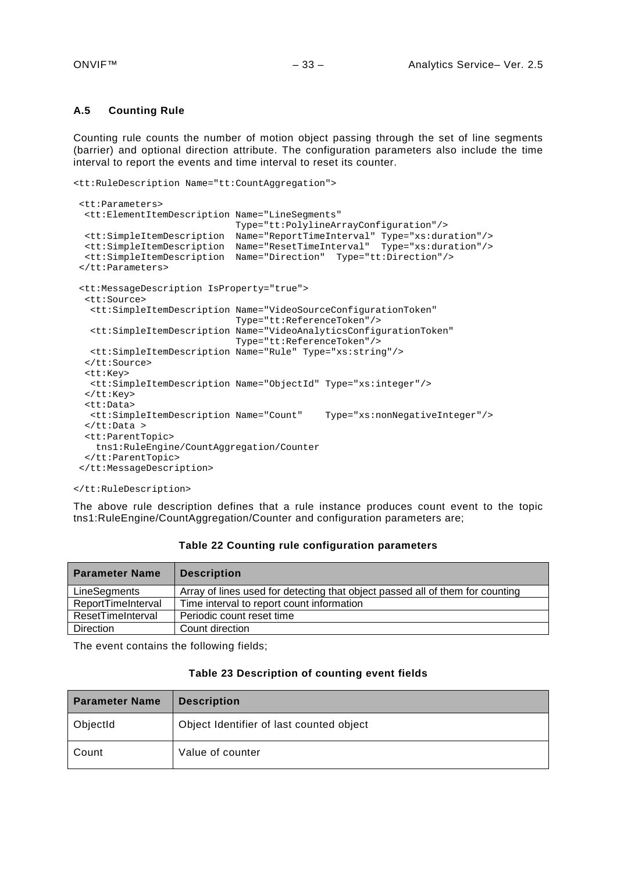#### <span id="page-32-0"></span>**A.5 Counting Rule**

Counting rule counts the number of motion object passing through the set of line segments (barrier) and optional direction attribute. The configuration parameters also include the time interval to report the events and time interval to reset its counter.

```
<tt:RuleDescription Name="tt:CountAggregation">
```

```
<tt:Parameters>
 <tt:ElementItemDescription Name="LineSegments" 
                              Type="tt:PolylineArrayConfiguration"/>
 <tt:SimpleItemDescription Name="ReportTimeInterval" Type="xs:duration"/>
 <tt:SimpleItemDescription Name="ResetTimeInterval" Type="xs:duration"/>
  <tt:SimpleItemDescription Name="Direction" Type="tt:Direction"/>
</tt:Parameters>
<tt:MessageDescription IsProperty="true">
  <tt:Source>
   <tt:SimpleItemDescription Name="VideoSourceConfigurationToken"
                              Type="tt:ReferenceToken"/>
   <tt:SimpleItemDescription Name="VideoAnalyticsConfigurationToken"
                              Type="tt:ReferenceToken"/>
   <tt:SimpleItemDescription Name="Rule" Type="xs:string"/>
  </tt:Source>
  <tt:Key>
   <tt:SimpleItemDescription Name="ObjectId" Type="xs:integer"/>
  </tt:Key>
  <tt:Data>
   <tt:SimpleItemDescription Name="Count" Type="xs:nonNegativeInteger"/>
  </tt:Data >
  <tt:ParentTopic>
    tns1:RuleEngine/CountAggregation/Counter
 </tt:ParentTopic>
</tt:MessageDescription>
```
</tt:RuleDescription>

The above rule description defines that a rule instance produces count event to the topic tns1:RuleEngine/CountAggregation/Counter and configuration parameters are;

| <b>Parameter Name</b> | <b>Description</b>                                                            |
|-----------------------|-------------------------------------------------------------------------------|
| LineSegments          | Array of lines used for detecting that object passed all of them for counting |
| ReportTimeInterval    | Time interval to report count information                                     |
| ResetTimeInterval     | Periodic count reset time                                                     |
| <b>Direction</b>      | Count direction                                                               |

### **Table 22 Counting rule configuration parameters**

The event contains the following fields;

|  | Table 23 Description of counting event fields |  |  |  |  |
|--|-----------------------------------------------|--|--|--|--|
|--|-----------------------------------------------|--|--|--|--|

| <b>Parameter Name</b> | <b>Description</b>                       |  |
|-----------------------|------------------------------------------|--|
| ObjectId              | Object Identifier of last counted object |  |
| Count                 | Value of counter                         |  |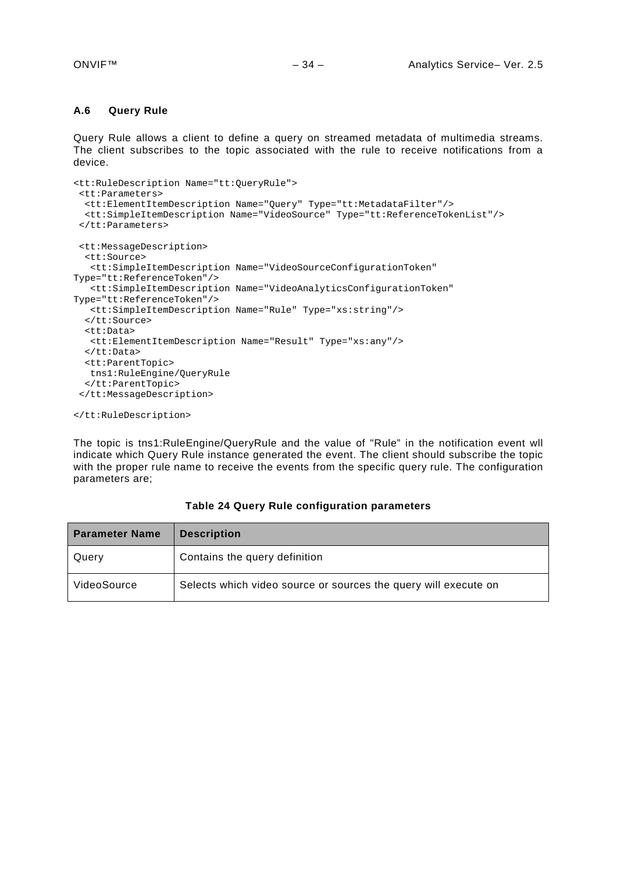#### <span id="page-33-0"></span>**A.6 Query Rule**

Query Rule allows a client to define a query on streamed metadata of multimedia streams. The client subscribes to the topic associated with the rule to receive notifications from a device.

```
<tt:RuleDescription Name="tt:QueryRule">
 <tt:Parameters>
   <tt:ElementItemDescription Name="Query" Type="tt:MetadataFilter"/>
  <tt:SimpleItemDescription Name="VideoSource" Type="tt:ReferenceTokenList"/>
 </tt:Parameters>
 <tt:MessageDescription>
  <tt:Source>
   <tt:SimpleItemDescription Name="VideoSourceConfigurationToken"
Type="tt:ReferenceToken"/>
   <tt:SimpleItemDescription Name="VideoAnalyticsConfigurationToken"
Type="tt:ReferenceToken"/>
   <tt:SimpleItemDescription Name="Rule" Type="xs:string"/>
   </tt:Source>
   <tt:Data>
   <tt:ElementItemDescription Name="Result" Type="xs:any"/>
   </tt:Data>
   <tt:ParentTopic>
   tns1:RuleEngine/QueryRule
  </tt:ParentTopic>
 </tt:MessageDescription>
</tt:RuleDescription>
```
The topic is tns1:RuleEngine/QueryRule and the value of "Rule" in the notification event wll indicate which Query Rule instance generated the event. The client should subscribe the topic with the proper rule name to receive the events from the specific query rule. The configuration parameters are;

| <b>Parameter Name</b> | <b>Description</b>                                              |
|-----------------------|-----------------------------------------------------------------|
| Query                 | Contains the query definition                                   |
| VideoSource           | Selects which video source or sources the query will execute on |

**Table 24 Query Rule configuration parameters**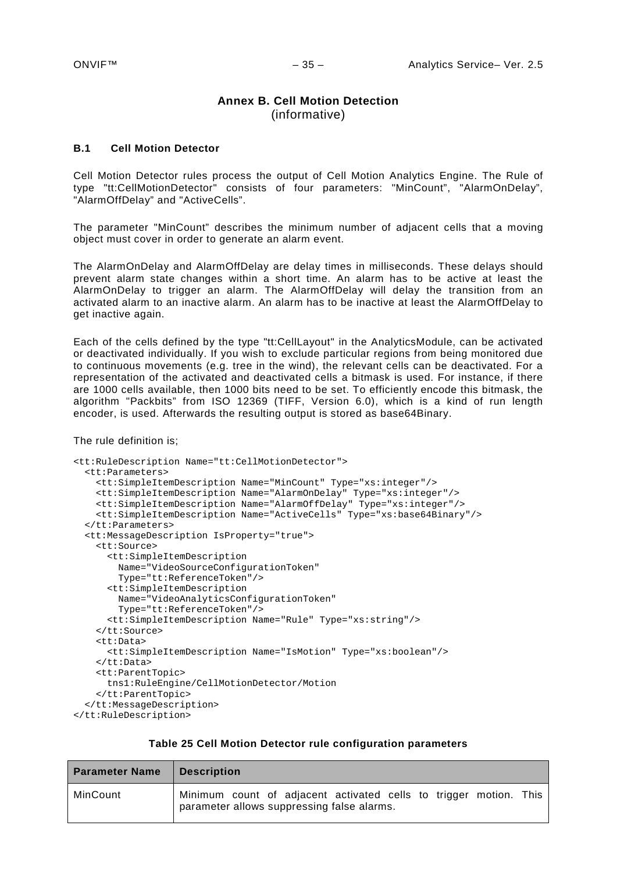# **Annex B. Cell Motion Detection** (informative)

#### <span id="page-34-1"></span><span id="page-34-0"></span>**B.1 Cell Motion Detector**

Cell Motion Detector rules process the output of Cell Motion Analytics Engine. The Rule of type "tt:CellMotionDetector" consists of four parameters: "MinCount", "AlarmOnDelay", "AlarmOffDelay" and "ActiveCells".

The parameter "MinCount" describes the minimum number of adjacent cells that a moving object must cover in order to generate an alarm event.

The AlarmOnDelay and AlarmOffDelay are delay times in milliseconds. These delays should prevent alarm state changes within a short time. An alarm has to be active at least the AlarmOnDelay to trigger an alarm. The AlarmOffDelay will delay the transition from an activated alarm to an inactive alarm. An alarm has to be inactive at least the AlarmOffDelay to get inactive again.

Each of the cells defined by the type "tt:CellLayout" in the AnalyticsModule, can be activated or deactivated individually. If you wish to exclude particular regions from being monitored due to continuous movements (e.g. tree in the wind), the relevant cells can be deactivated. For a representation of the activated and deactivated cells a bitmask is used. For instance, if there are 1000 cells available, then 1000 bits need to be set. To efficiently encode this bitmask, the algorithm "Packbits" from ISO 12369 (TIFF, Version 6.0), which is a kind of run length encoder, is used. Afterwards the resulting output is stored as base64Binary.

The rule definition is;

```
<tt:RuleDescription Name="tt:CellMotionDetector">
   <tt:Parameters>
     <tt:SimpleItemDescription Name="MinCount" Type="xs:integer"/>
     <tt:SimpleItemDescription Name="AlarmOnDelay" Type="xs:integer"/>
     <tt:SimpleItemDescription Name="AlarmOffDelay" Type="xs:integer"/>
     <tt:SimpleItemDescription Name="ActiveCells" Type="xs:base64Binary"/>
   </tt:Parameters>
   <tt:MessageDescription IsProperty="true">
     <tt:Source>
       <tt:SimpleItemDescription
         Name="VideoSourceConfigurationToken" 
         Type="tt:ReferenceToken"/>
       <tt:SimpleItemDescription 
         Name="VideoAnalyticsConfigurationToken" 
         Type="tt:ReferenceToken"/>
       <tt:SimpleItemDescription Name="Rule" Type="xs:string"/>
     </tt:Source>
     <tt:Data>
       <tt:SimpleItemDescription Name="IsMotion" Type="xs:boolean"/>
     </tt:Data>
     <tt:ParentTopic>
      tns1:RuleEngine/CellMotionDetector/Motion
     </tt:ParentTopic>
   </tt:MessageDescription>
</tt:RuleDescription>
```
#### **Table 25 Cell Motion Detector rule configuration parameters**

| <b>Parameter Name</b> | <b>Description</b>                                                                                              |
|-----------------------|-----------------------------------------------------------------------------------------------------------------|
| MinCount              | Minimum count of adjacent activated cells to trigger motion. This<br>parameter allows suppressing false alarms. |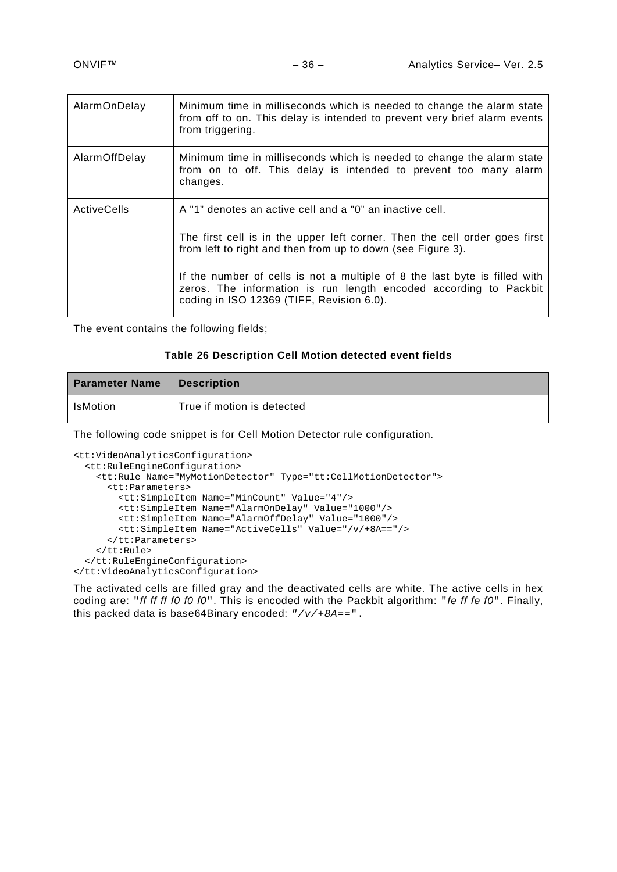| AlarmOnDelay       | Minimum time in milliseconds which is needed to change the alarm state<br>from off to on. This delay is intended to prevent very brief alarm events<br>from triggering.                                                                                                             |
|--------------------|-------------------------------------------------------------------------------------------------------------------------------------------------------------------------------------------------------------------------------------------------------------------------------------|
| AlarmOffDelay      | Minimum time in milliseconds which is needed to change the alarm state<br>from on to off. This delay is intended to prevent too many alarm<br>changes.                                                                                                                              |
| <b>ActiveCells</b> | A "1" denotes an active cell and a "0" an inactive cell.<br>The first cell is in the upper left corner. Then the cell order goes first<br>from left to right and then from up to down (see Figure 3).<br>If the number of cells is not a multiple of 8 the last byte is filled with |
|                    | zeros. The information is run length encoded according to Packbit<br>coding in ISO 12369 (TIFF, Revision 6.0).                                                                                                                                                                      |

The event contains the following fields;

#### **Table 26 Description Cell Motion detected event fields**

| <b>Parameter Name</b> | Description                |
|-----------------------|----------------------------|
| <b>IsMotion</b>       | True if motion is detected |

The following code snippet is for Cell Motion Detector rule configuration.

```
<tt:VideoAnalyticsConfiguration>
   <tt:RuleEngineConfiguration>
    <tt:Rule Name="MyMotionDetector" Type="tt:CellMotionDetector">
       <tt:Parameters>
         <tt:SimpleItem Name="MinCount" Value="4"/>
         <tt:SimpleItem Name="AlarmOnDelay" Value="1000"/>
         <tt:SimpleItem Name="AlarmOffDelay" Value="1000"/>
         <tt:SimpleItem Name="ActiveCells" Value="/v/+8A=="/>
       </tt:Parameters>
     </tt:Rule>
   </tt:RuleEngineConfiguration>
</tt:VideoAnalyticsConfiguration>
```
The activated cells are filled gray and the deactivated cells are white. The active cells in hex coding are: "*ff ff ff f0 f0 f0*". This is encoded with the Packbit algorithm: "*fe ff fe f0*". Finally, this packed data is base64Binary encoded: *"/v/+8A==*".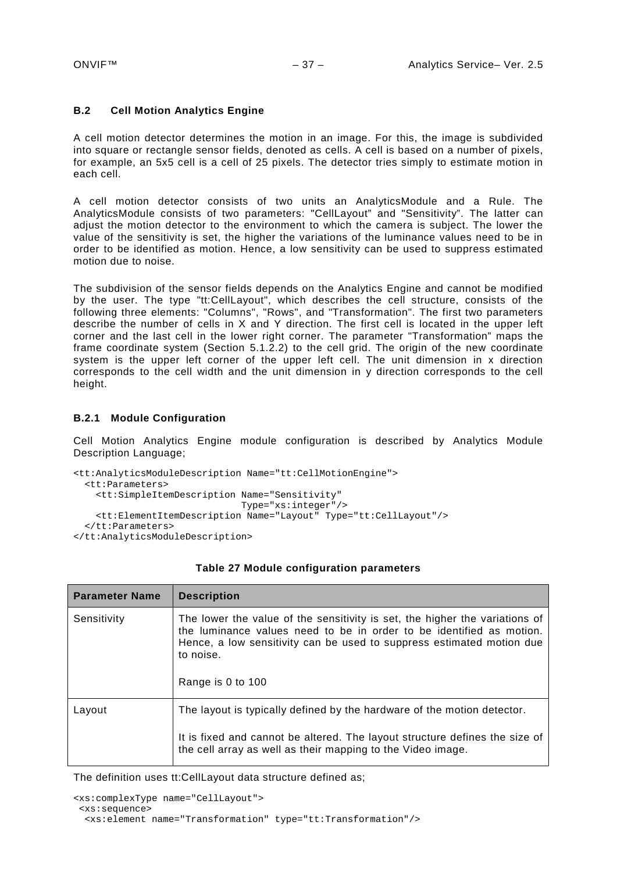#### <span id="page-36-0"></span>**B.2 Cell Motion Analytics Engine**

A cell motion detector determines the motion in an image. For this, the image is subdivided into square or rectangle sensor fields, denoted as cells. A cell is based on a number of pixels, for example, an 5x5 cell is a cell of 25 pixels. The detector tries simply to estimate motion in each cell.

A cell motion detector consists of two units an AnalyticsModule and a Rule. The AnalyticsModule consists of two parameters: "CellLayout" and "Sensitivity". The latter can adjust the motion detector to the environment to which the camera is subject. The lower the value of the sensitivity is set, the higher the variations of the luminance values need to be in order to be identified as motion. Hence, a low sensitivity can be used to suppress estimated motion due to noise.

The subdivision of the sensor fields depends on the Analytics Engine and cannot be modified by the user. The type "tt:CellLayout", which describes the cell structure, consists of the following three elements: "Columns", "Rows", and "Transformation". The first two parameters describe the number of cells in X and Y direction. The first cell is located in the upper left corner and the last cell in the lower right corner. The parameter "Transformation" maps the frame coordinate system (Section [5.1.2.2\)](#page-7-0) to the cell grid. The origin of the new coordinate system is the upper left corner of the upper left cell. The unit dimension in x direction corresponds to the cell width and the unit dimension in y direction corresponds to the cell height.

#### <span id="page-36-1"></span>**B.2.1 Module Configuration**

Cell Motion Analytics Engine module configuration is described by Analytics Module Description Language;

```
<tt:AnalyticsModuleDescription Name="tt:CellMotionEngine">
   <tt:Parameters>
     <tt:SimpleItemDescription Name="Sensitivity"
                               Type="xs:integer"/>
    <tt:ElementItemDescription Name="Layout" Type="tt:CellLayout"/>
   </tt:Parameters>
</tt:AnalyticsModuleDescription>
```

| <b>Parameter Name</b> | <b>Description</b>                                                                                                                                                                                                                                             |
|-----------------------|----------------------------------------------------------------------------------------------------------------------------------------------------------------------------------------------------------------------------------------------------------------|
| Sensitivity           | The lower the value of the sensitivity is set, the higher the variations of<br>the luminance values need to be in order to be identified as motion.<br>Hence, a low sensitivity can be used to suppress estimated motion due<br>to noise.<br>Range is 0 to 100 |
| Layout                | The layout is typically defined by the hardware of the motion detector.                                                                                                                                                                                        |
|                       | It is fixed and cannot be altered. The layout structure defines the size of<br>the cell array as well as their mapping to the Video image.                                                                                                                     |

#### **Table 27 Module configuration parameters**

The definition uses tt:CellLayout data structure defined as;

```
<xs:complexType name="CellLayout">
<xs:sequence>
  <xs:element name="Transformation" type="tt:Transformation"/>
```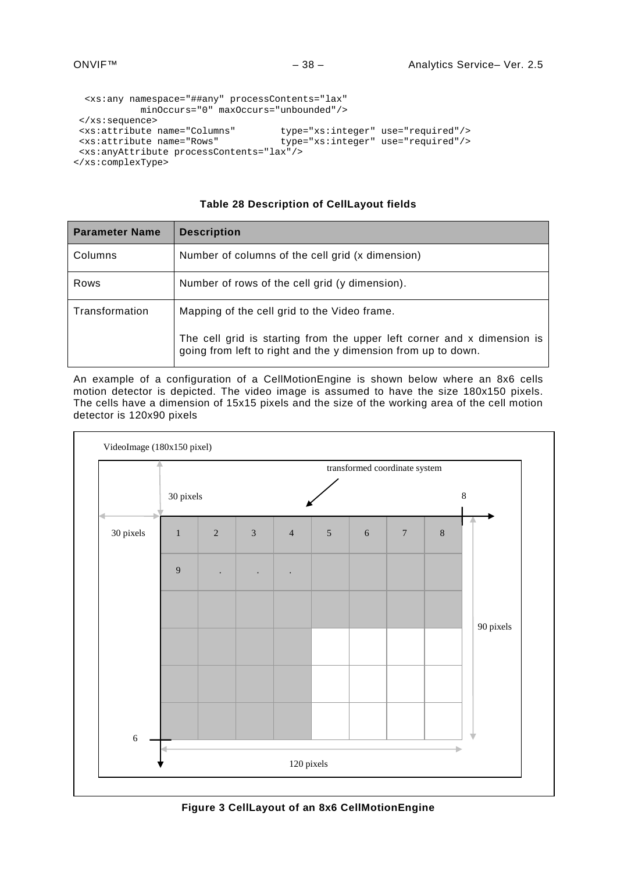```
 <xs:any namespace="##any" processContents="lax" 
             minOccurs="0" maxOccurs="unbounded"/>
</xs:sequence><br><xs:attribute name="Columns"
<xs:attribute name="Columns" type="xs:integer" use="required"/>
                                      type="xs:integer" use="required"/>
<xs:anyAttribute processContents="lax"/>
</xs:complexType>
```
# **Table 28 Description of CellLayout fields**

| <b>Parameter Name</b> | <b>Description</b>                                                                                                                       |  |
|-----------------------|------------------------------------------------------------------------------------------------------------------------------------------|--|
| Columns               | Number of columns of the cell grid (x dimension)                                                                                         |  |
| Rows                  | Number of rows of the cell grid (y dimension).                                                                                           |  |
| Transformation        | Mapping of the cell grid to the Video frame.                                                                                             |  |
|                       | The cell grid is starting from the upper left corner and x dimension is<br>going from left to right and the y dimension from up to down. |  |

An example of a configuration of a CellMotionEngine is shown below where an 8x6 cells motion detector is depicted. The video image is assumed to have the size 180x150 pixels. The cells have a dimension of 15x15 pixels and the size of the working area of the cell motion detector is 120x90 pixels

<span id="page-37-0"></span>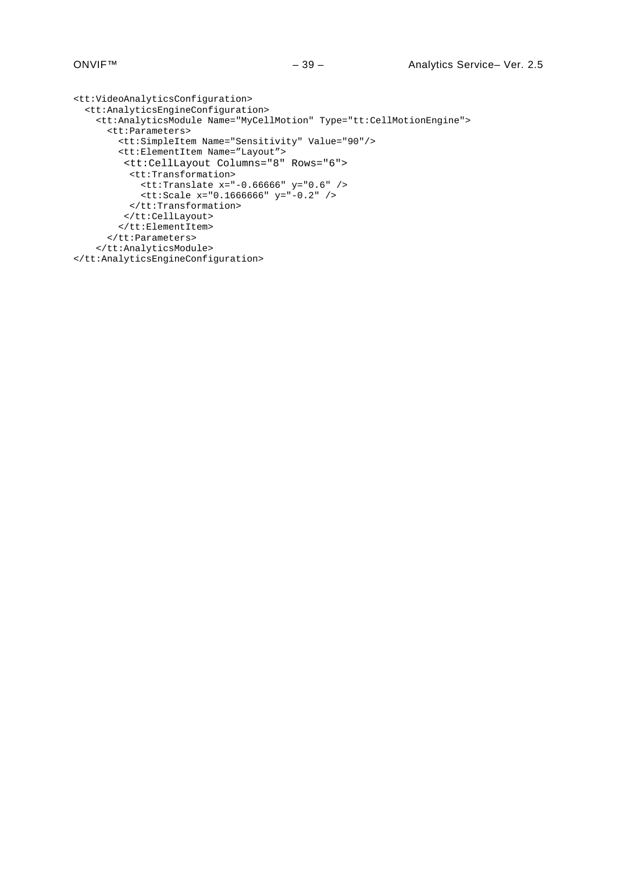```
<tt:VideoAnalyticsConfiguration>
   <tt:AnalyticsEngineConfiguration>
     <tt:AnalyticsModule Name="MyCellMotion" Type="tt:CellMotionEngine">
       <tt:Parameters>
         <tt:SimpleItem Name="Sensitivity" Value="90"/>
         <tt:ElementItem Name="Layout">
          <tt:CellLayout Columns="8" Rows="6">
           <tt:Transformation>
             <tt:Translate x="-0.66666" y="0.6" />
             <tt:Scale x="0.1666666" y="-0.2" />
          </tt:Transformation>
         </tt:CellLayout>
         </tt:ElementItem>
       </tt:Parameters>
     </tt:AnalyticsModule>
</tt:AnalyticsEngineConfiguration>
```